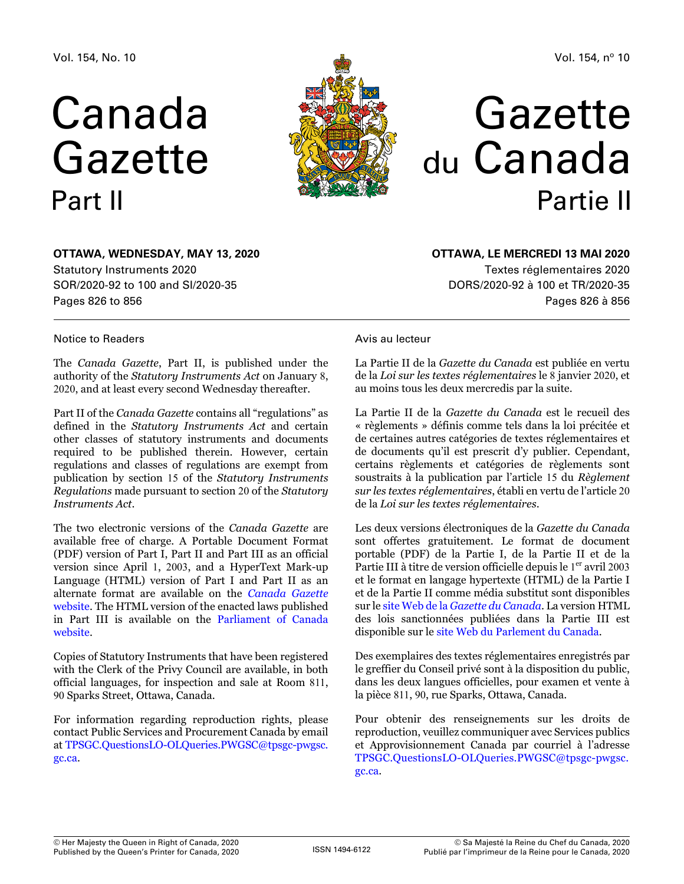# Canada Gazette Part II



Vol. 154, nº 10

# Gazette du Canada Partie II

# **OTTAWA, Wednesday, May 13, 2020** Statutory Instruments 2020 SOR/2020-92 to 100 and SI/2020-35

Pages 826 to 856

### Notice to Readers

The *Canada Gazette*, Part II, is published under the authority of the *Statutory Instruments Act* on January 8, 2020, and at least every second Wednesday thereafter.

Part II of the *Canada Gazette* contains all "regulations" as defined in the *Statutory Instruments Act* and certain other classes of statutory instruments and documents required to be published therein. However, certain regulations and classes of regulations are exempt from publication by section 15 of the *Statutory Instruments Regulations* made pursuant to section 20 of the *Statutory Instruments Act*.

The two electronic versions of the *Canada Gazette* are available free of charge. A Portable Document Format (PDF) version of Part I, Part II and Part III as an official version since April 1, 2003, and a HyperText Mark-up Language (HTML) version of Part I and Part II as an alternate format are available on the *[Canada Gazette](http://gazette.gc.ca)*  [website](http://gazette.gc.ca). The HTML version of the enacted laws published in Part III is available on the [Parliament of Canada](http://www.parl.gc.ca)  [website](http://www.parl.gc.ca).

Copies of Statutory Instruments that have been registered with the Clerk of the Privy Council are available, in both official languages, for inspection and sale at Room 811, 90 Sparks Street, Ottawa, Canada.

For information regarding reproduction rights, please contact Public Services and Procurement Canada by email at [TPSGC.QuestionsLO-OLQueries.PWGSC@tpsgc-pwgsc.](mailto:TPSGC.QuestionsLO-OLQueries.PWGSC%40tpsgc-pwgsc.gc.ca?subject=) [gc.ca](mailto:TPSGC.QuestionsLO-OLQueries.PWGSC%40tpsgc-pwgsc.gc.ca?subject=).

### **OTTAWA, LE mercredi 13 mai 2020**

Textes réglementaires 2020 DORS/2020-92 à 100 et TR/2020-35 Pages 826 à 856

### Avis au lecteur

La Partie II de la *Gazette du Canada* est publiée en vertu de la *Loi sur les textes réglementaires* le 8 janvier 2020, et au moins tous les deux mercredis par la suite.

La Partie II de la *Gazette du Canada* est le recueil des « règlements » définis comme tels dans la loi précitée et de certaines autres catégories de textes réglementaires et de documents qu'il est prescrit d'y publier. Cependant, certains règlements et catégories de règlements sont soustraits à la publication par l'article 15 du *Règlement sur les textes réglementaires*, établi en vertu de l'article 20 de la *Loi sur les textes réglementaires*.

Les deux versions électroniques de la *Gazette du Canada* sont offertes gratuitement. Le format de document portable (PDF) de la Partie I, de la Partie II et de la Partie III à titre de version officielle depuis le 1<sup>er</sup> avril 2003 et le format en langage hypertexte (HTML) de la Partie I et de la Partie II comme média substitut sont disponibles sur le [site Web de la](http://gazette.gc.ca) *[Gazette du Canada](http://gazette.gc.ca)*. La version HTML des lois sanctionnées publiées dans la Partie III est disponible sur le [site Web du Parlement du Canada](http://www.parl.gc.ca).

Des exemplaires des textes réglementaires enregistrés par le greffier du Conseil privé sont à la disposition du public, dans les deux langues officielles, pour examen et vente à la pièce 811, 90, rue Sparks, Ottawa, Canada.

Pour obtenir des renseignements sur les droits de reproduction, veuillez communiquer avec Services publics et Approvisionnement Canada par courriel à l'adresse [TPSGC.QuestionsLO-OLQueries.PWGSC@tpsgc-pwgsc.](mailto:TPSGC.QuestionsLO-OLQueries.PWGSC%40tpsgc-pwgsc.gc.ca?subject=) [gc.ca](mailto:TPSGC.QuestionsLO-OLQueries.PWGSC%40tpsgc-pwgsc.gc.ca?subject=).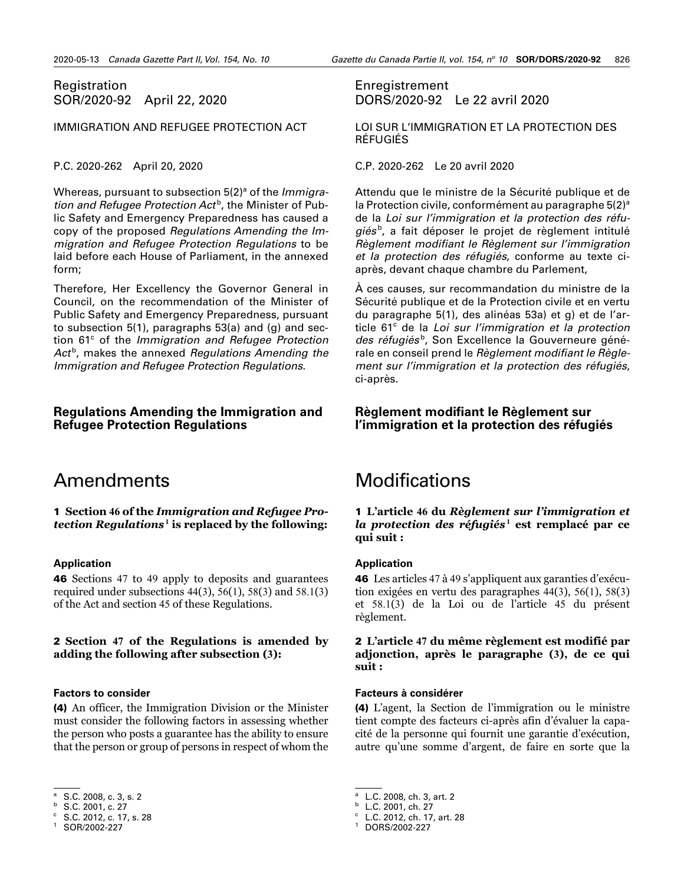### <span id="page-1-0"></span>Registration SOR/2020-92 April 22, 2020

#### IMMIGRATION AND REFUGEE PROTECTION ACT

#### P.C. 2020-262 April 20, 2020

Whereas, pursuant to subsection 5(2)<sup>a</sup> of the *Immigra*tion and Refugee Protection Act<sup>b</sup>, the Minister of Public Safety and Emergency Preparedness has caused a copy of the proposed *Regulations Amending the Immigration and Refugee Protection Regulations* to be laid before each House of Parliament, in the annexed form;

Therefore, Her Excellency the Governor General in Council, on the recommendation of the Minister of Public Safety and Emergency Preparedness, pursuant to subsection 5(1), paragraphs 53(a) and (g) and section 61<sup>c</sup> of the *Immigration and Refugee Protection* Act<sup>b</sup>, makes the annexed *Regulations Amending the Immigration and Refugee Protection Regulations*.

#### **Regulations Amending the Immigration and Refugee Protection Regulations**

# Amendments

1 **Section 46 of the** *Immigration and Refugee Protection Regulations*4**<sup>1</sup> is replaced by the following:**

#### **Application**

46 Sections 47 to 49 apply to deposits and guarantees required under subsections  $44(3)$ ,  $56(1)$ ,  $58(3)$  and  $58.1(3)$ of the Act and section 45 of these Regulations.

#### 2 **Section 47 of the Regulations is amended by adding the following after subsection (3):**

#### **Factors to consider**

(4) An officer, the Immigration Division or the Minister must consider the following factors in assessing whether the person who posts a guarantee has the ability to ensure that the person or group of persons in respect of whom the

<sup>b</sup> S.C. 2001, c. 27

### Enregistrement DORS/2020-92 Le 22 avril 2020

LOI SUR L'IMMIGRATION ET LA PROTECTION DES RÉFUGIÉS

C.P. 2020-262 Le 20 avril 2020

Attendu que le ministre de la Sécurité publique et de la Protection civile, conformément au paragraphe  $5(2)^a$ de la *Loi sur l'immigration et la protection des réfu*giés<sup>b</sup>, a fait déposer le projet de règlement intitulé *Règlement modifiant le Règlement sur l'immigration et la protection des réfugiés*, conforme au texte ciaprès, devant chaque chambre du Parlement,

À ces causes, sur recommandation du ministre de la Sécurité publique et de la Protection civile et en vertu du paragraphe 5(1), des alinéas 53a) et g) et de l'article 61<sup>c</sup> de la Loi sur l'immigration et la protection des réfugiés<sup>b</sup>, Son Excellence la Gouverneure générale en conseil prend le *Règlement modifiant le Règlement sur l'immigration et la protection des réfugiés*, ci-après.

#### **Règlement modifiant le Règlement sur l'immigration et la protection des réfugiés**

# **Modifications**

#### 1 **L'article 46 du** *Règlement sur l'immigration et*  la protection des réfugiés<sup>1</sup> est remplacé par ce **qui suit :**

#### **Application**

46 Les articles 47 à 49 s'appliquent aux garanties d'exécution exigées en vertu des paragraphes 44(3), 56(1), 58(3) et 58.1(3) de la Loi ou de l'article 45 du présent règlement.

2 **L'article 47 du même règlement est modifié par adjonction, après le paragraphe (3), de ce qui suit :**

#### **Facteurs à considérer**

(4) L'agent, la Section de l'immigration ou le ministre tient compte des facteurs ci-après afin d'évaluer la capacité de la personne qui fournit une garantie d'exécution, autre qu'une somme d'argent, de faire en sorte que la

<sup>b</sup> L.C. 2001, ch. 27

S.C. 2008, c. 3, s. 2

 $C. 2012, c. 17, s. 28$ 

<sup>1</sup> SOR/2002-227

L.C. 2008, ch. 3, art. 2

 $C$  L.C. 2012, ch. 17, art. 28

<sup>1</sup> DORS/2002-227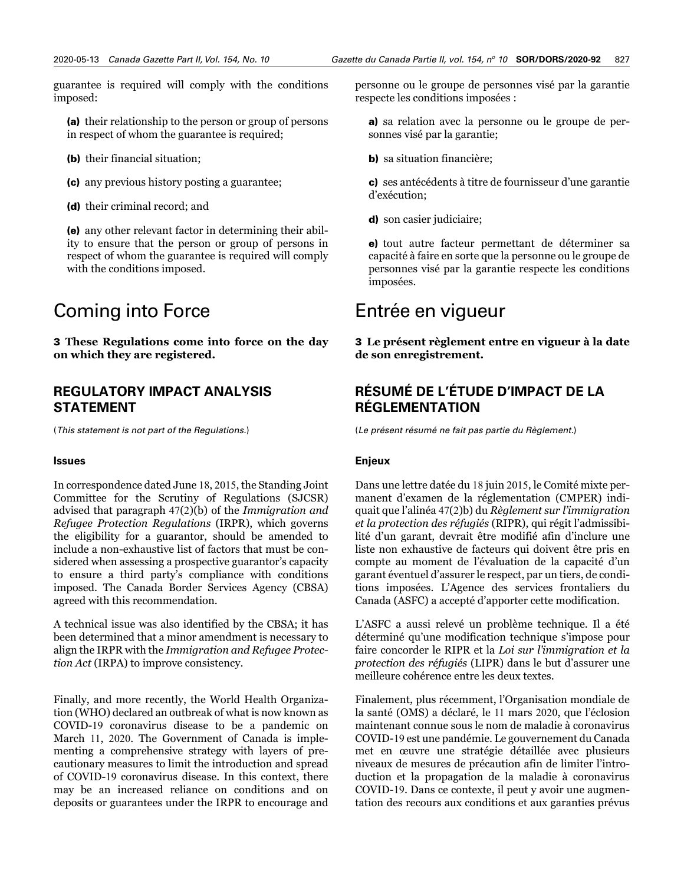guarantee is required will comply with the conditions imposed:

(a) their relationship to the person or group of persons in respect of whom the guarantee is required;

- (b) their financial situation;
- (c) any previous history posting a guarantee;
- (d) their criminal record; and

(e) any other relevant factor in determining their ability to ensure that the person or group of persons in respect of whom the guarantee is required will comply with the conditions imposed.

# Coming into Force

3 **These Regulations come into force on the day on which they are registered.** 

### **REGULATORY IMPACT ANALYSIS STATEMENT**

(*This statement is not part of the Regulations.*)

#### **Issues**

In correspondence dated June 18, 2015, the Standing Joint Committee for the Scrutiny of Regulations (SJCSR) advised that paragraph 47(2)(b) of the *Immigration and Refugee Protection Regulations* (IRPR), which governs the eligibility for a guarantor, should be amended to include a non-exhaustive list of factors that must be considered when assessing a prospective guarantor's capacity to ensure a third party's compliance with conditions imposed. The Canada Border Services Agency (CBSA) agreed with this recommendation.

A technical issue was also identified by the CBSA; it has been determined that a minor amendment is necessary to align the IRPR with the *Immigration and Refugee Protection Act* (IRPA) to improve consistency.

Finally, and more recently, the World Health Organization (WHO) declared an outbreak of what is now known as COVID-19 coronavirus disease to be a pandemic on March 11, 2020. The Government of Canada is implementing a comprehensive strategy with layers of precautionary measures to limit the introduction and spread of COVID-19 coronavirus disease. In this context, there may be an increased reliance on conditions and on deposits or guarantees under the IRPR to encourage and

personne ou le groupe de personnes visé par la garantie respecte les conditions imposées :

a) sa relation avec la personne ou le groupe de personnes visé par la garantie;

b) sa situation financière;

c) ses antécédents à titre de fournisseur d'une garantie d'exécution;

d) son casier judiciaire;

e) tout autre facteur permettant de déterminer sa capacité à faire en sorte que la personne ou le groupe de personnes visé par la garantie respecte les conditions imposées.

# Entrée en vigueur

3 **Le présent règlement entre en vigueur à la date de son enregistrement.** 

# **RÉSUMÉ DE L'ÉTUDE D'IMPACT DE LA RÉGLEMENTATION**

(*Le présent résumé ne fait pas partie du Règlement.*)

#### **Enjeux**

Dans une lettre datée du 18 juin 2015, le Comité mixte permanent d'examen de la réglementation (CMPER) indiquait que l'alinéa 47(2)b) du *Règlement sur l'immigration et la protection des réfugiés* (RIPR), qui régit l'admissibilité d'un garant, devrait être modifié afin d'inclure une liste non exhaustive de facteurs qui doivent être pris en compte au moment de l'évaluation de la capacité d'un garant éventuel d'assurer le respect, par un tiers, de conditions imposées. L'Agence des services frontaliers du Canada (ASFC) a accepté d'apporter cette modification.

L'ASFC a aussi relevé un problème technique. Il a été déterminé qu'une modification technique s'impose pour faire concorder le RIPR et la *Loi sur l'immigration et la protection des réfugiés* (LIPR) dans le but d'assurer une meilleure cohérence entre les deux textes.

Finalement, plus récemment, l'Organisation mondiale de la santé (OMS) a déclaré, le 11 mars 2020, que l'éclosion maintenant connue sous le nom de maladie à coronavirus COVID-19 est une pandémie. Le gouvernement du Canada met en œuvre une stratégie détaillée avec plusieurs niveaux de mesures de précaution afin de limiter l'introduction et la propagation de la maladie à coronavirus COVID-19. Dans ce contexte, il peut y avoir une augmentation des recours aux conditions et aux garanties prévus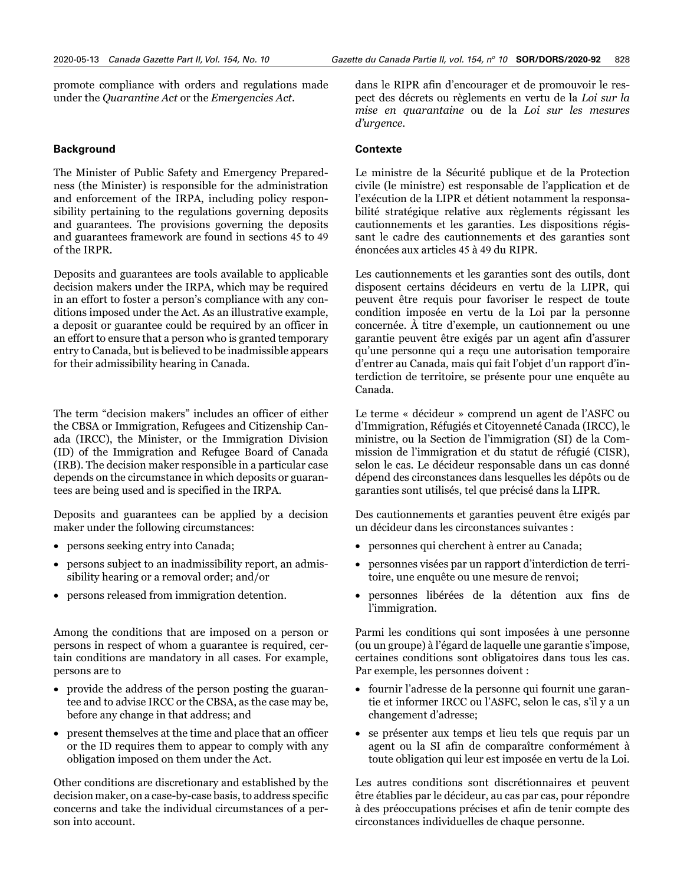promote compliance with orders and regulations made under the *Quarantine Act* or the *Emergencies Act*.

#### **Background**

The Minister of Public Safety and Emergency Preparedness (the Minister) is responsible for the administration and enforcement of the IRPA, including policy responsibility pertaining to the regulations governing deposits and guarantees. The provisions governing the deposits and guarantees framework are found in sections 45 to 49 of the IRPR.

Deposits and guarantees are tools available to applicable decision makers under the IRPA, which may be required in an effort to foster a person's compliance with any conditions imposed under the Act. As an illustrative example, a deposit or guarantee could be required by an officer in an effort to ensure that a person who is granted temporary entry to Canada, but is believed to be inadmissible appears for their admissibility hearing in Canada.

The term "decision makers" includes an officer of either the CBSA or Immigration, Refugees and Citizenship Canada (IRCC), the Minister, or the Immigration Division (ID) of the Immigration and Refugee Board of Canada (IRB). The decision maker responsible in a particular case depends on the circumstance in which deposits or guarantees are being used and is specified in the IRPA.

Deposits and guarantees can be applied by a decision maker under the following circumstances:

- persons seeking entry into Canada;
- persons subject to an inadmissibility report, an admissibility hearing or a removal order; and/or
- persons released from immigration detention.

Among the conditions that are imposed on a person or persons in respect of whom a guarantee is required, certain conditions are mandatory in all cases. For example, persons are to

- provide the address of the person posting the guarantee and to advise IRCC or the CBSA, as the case may be, before any change in that address; and
- present themselves at the time and place that an officer or the ID requires them to appear to comply with any obligation imposed on them under the Act.

Other conditions are discretionary and established by the decision maker, on a case-by-case basis, to address specific concerns and take the individual circumstances of a person into account.

dans le RIPR afin d'encourager et de promouvoir le respect des décrets ou règlements en vertu de la *Loi sur la mise en quarantaine* ou de la *Loi sur les mesures d'urgence*.

#### **Contexte**

Le ministre de la Sécurité publique et de la Protection civile (le ministre) est responsable de l'application et de l'exécution de la LIPR et détient notamment la responsabilité stratégique relative aux règlements régissant les cautionnements et les garanties. Les dispositions régissant le cadre des cautionnements et des garanties sont énoncées aux articles 45 à 49 du RIPR.

Les cautionnements et les garanties sont des outils, dont disposent certains décideurs en vertu de la LIPR, qui peuvent être requis pour favoriser le respect de toute condition imposée en vertu de la Loi par la personne concernée. À titre d'exemple, un cautionnement ou une garantie peuvent être exigés par un agent afin d'assurer qu'une personne qui a reçu une autorisation temporaire d'entrer au Canada, mais qui fait l'objet d'un rapport d'interdiction de territoire, se présente pour une enquête au Canada.

Le terme « décideur » comprend un agent de l'ASFC ou d'Immigration, Réfugiés et Citoyenneté Canada (IRCC), le ministre, ou la Section de l'immigration (SI) de la Commission de l'immigration et du statut de réfugié (CISR), selon le cas. Le décideur responsable dans un cas donné dépend des circonstances dans lesquelles les dépôts ou de garanties sont utilisés, tel que précisé dans la LIPR.

Des cautionnements et garanties peuvent être exigés par un décideur dans les circonstances suivantes :

- personnes qui cherchent à entrer au Canada;
- personnes visées par un rapport d'interdiction de territoire, une enquête ou une mesure de renvoi;
- personnes libérées de la détention aux fins de l'immigration.

Parmi les conditions qui sont imposées à une personne (ou un groupe) à l'égard de laquelle une garantie s'impose, certaines conditions sont obligatoires dans tous les cas. Par exemple, les personnes doivent :

- fournir l'adresse de la personne qui fournit une garantie et informer IRCC ou l'ASFC, selon le cas, s'il y a un changement d'adresse;
- se présenter aux temps et lieu tels que requis par un agent ou la SI afin de comparaître conformément à toute obligation qui leur est imposée en vertu de la Loi.

Les autres conditions sont discrétionnaires et peuvent être établies par le décideur, au cas par cas, pour répondre à des préoccupations précises et afin de tenir compte des circonstances individuelles de chaque personne.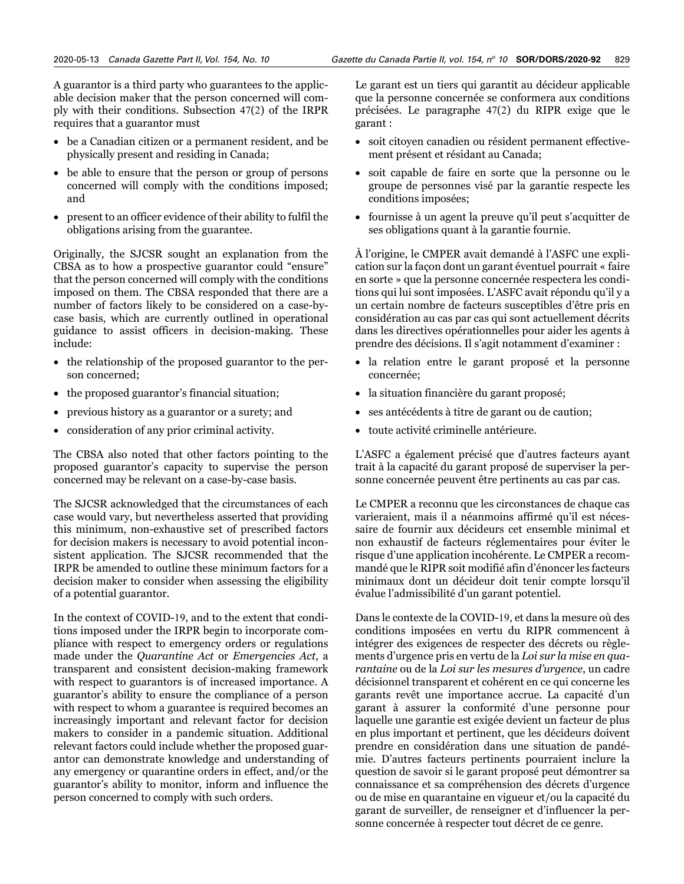A guarantor is a third party who guarantees to the applicable decision maker that the person concerned will comply with their conditions. Subsection 47(2) of the IRPR requires that a guarantor must

- be a Canadian citizen or a permanent resident, and be physically present and residing in Canada;
- be able to ensure that the person or group of persons concerned will comply with the conditions imposed; and
- present to an officer evidence of their ability to fulfil the obligations arising from the guarantee.

Originally, the SJCSR sought an explanation from the CBSA as to how a prospective guarantor could "ensure" that the person concerned will comply with the conditions imposed on them. The CBSA responded that there are a number of factors likely to be considered on a case-bycase basis, which are currently outlined in operational guidance to assist officers in decision-making. These include:

- the relationship of the proposed guarantor to the person concerned;
- the proposed guarantor's financial situation;
- previous history as a guarantor or a surety; and
- consideration of any prior criminal activity.

The CBSA also noted that other factors pointing to the proposed guarantor's capacity to supervise the person concerned may be relevant on a case-by-case basis.

The SJCSR acknowledged that the circumstances of each case would vary, but nevertheless asserted that providing this minimum, non-exhaustive set of prescribed factors for decision makers is necessary to avoid potential inconsistent application. The SJCSR recommended that the IRPR be amended to outline these minimum factors for a decision maker to consider when assessing the eligibility of a potential guarantor.

In the context of COVID-19, and to the extent that conditions imposed under the IRPR begin to incorporate compliance with respect to emergency orders or regulations made under the *Quarantine Act* or *Emergencies Act*, a transparent and consistent decision-making framework with respect to guarantors is of increased importance. A guarantor's ability to ensure the compliance of a person with respect to whom a guarantee is required becomes an increasingly important and relevant factor for decision makers to consider in a pandemic situation. Additional relevant factors could include whether the proposed guarantor can demonstrate knowledge and understanding of any emergency or quarantine orders in effect, and/or the guarantor's ability to monitor, inform and influence the person concerned to comply with such orders.

Le garant est un tiers qui garantit au décideur applicable que la personne concernée se conformera aux conditions précisées. Le paragraphe 47(2) du RIPR exige que le garant :

- soit citoyen canadien ou résident permanent effectivement présent et résidant au Canada;
- soit capable de faire en sorte que la personne ou le groupe de personnes visé par la garantie respecte les conditions imposées;
- fournisse à un agent la preuve qu'il peut s'acquitter de ses obligations quant à la garantie fournie.

À l'origine, le CMPER avait demandé à l'ASFC une explication sur la façon dont un garant éventuel pourrait « faire en sorte » que la personne concernée respectera les conditions qui lui sont imposées. L'ASFC avait répondu qu'il y a un certain nombre de facteurs susceptibles d'être pris en considération au cas par cas qui sont actuellement décrits dans les directives opérationnelles pour aider les agents à prendre des décisions. Il s'agit notamment d'examiner :

- la relation entre le garant proposé et la personne concernée;
- la situation financière du garant proposé;
- ses antécédents à titre de garant ou de caution;
- toute activité criminelle antérieure.

L'ASFC a également précisé que d'autres facteurs ayant trait à la capacité du garant proposé de superviser la personne concernée peuvent être pertinents au cas par cas.

Le CMPER a reconnu que les circonstances de chaque cas varieraient, mais il a néanmoins affirmé qu'il est nécessaire de fournir aux décideurs cet ensemble minimal et non exhaustif de facteurs réglementaires pour éviter le risque d'une application incohérente. Le CMPER a recommandé que le RIPR soit modifié afin d'énoncer les facteurs minimaux dont un décideur doit tenir compte lorsqu'il évalue l'admissibilité d'un garant potentiel.

Dans le contexte de la COVID-19, et dans la mesure où des conditions imposées en vertu du RIPR commencent à intégrer des exigences de respecter des décrets ou règlements d'urgence pris en vertu de la *Loi sur la mise en quarantaine* ou de la *Loi sur les mesures d'urgence*, un cadre décisionnel transparent et cohérent en ce qui concerne les garants revêt une importance accrue. La capacité d'un garant à assurer la conformité d'une personne pour laquelle une garantie est exigée devient un facteur de plus en plus important et pertinent, que les décideurs doivent prendre en considération dans une situation de pandémie. D'autres facteurs pertinents pourraient inclure la question de savoir si le garant proposé peut démontrer sa connaissance et sa compréhension des décrets d'urgence ou de mise en quarantaine en vigueur et/ou la capacité du garant de surveiller, de renseigner et d'influencer la personne concernée à respecter tout décret de ce genre.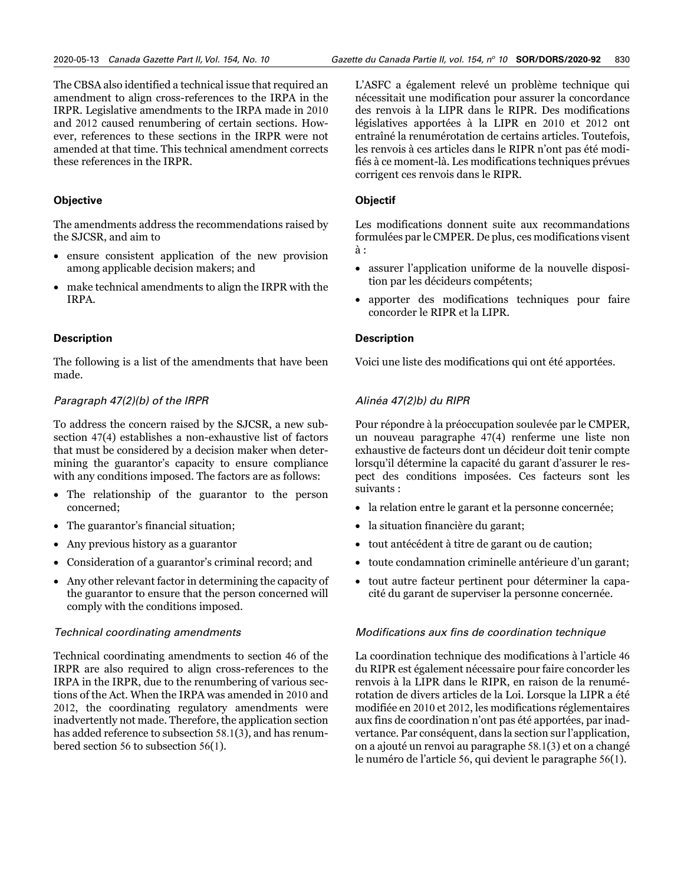The CBSA also identified a technical issue that required an amendment to align cross-references to the IRPA in the IRPR. Legislative amendments to the IRPA made in 2010 and 2012 caused renumbering of certain sections. However, references to these sections in the IRPR were not amended at that time. This technical amendment corrects these references in the IRPR.

#### **Objective**

The amendments address the recommendations raised by the SJCSR, and aim to

- ensure consistent application of the new provision among applicable decision makers; and
- make technical amendments to align the IRPR with the IRPA.

#### **Description**

The following is a list of the amendments that have been made.

#### *Paragraph 47(2)(b) of the IRPR*

To address the concern raised by the SJCSR, a new subsection 47(4) establishes a non-exhaustive list of factors that must be considered by a decision maker when determining the guarantor's capacity to ensure compliance with any conditions imposed. The factors are as follows:

- The relationship of the guarantor to the person concerned;
- The guarantor's financial situation;
- Any previous history as a guarantor
- Consideration of a guarantor's criminal record; and
- Any other relevant factor in determining the capacity of the guarantor to ensure that the person concerned will comply with the conditions imposed.

#### *Technical coordinating amendments*

Technical coordinating amendments to section 46 of the IRPR are also required to align cross-references to the IRPA in the IRPR, due to the renumbering of various sections of the Act. When the IRPA was amended in 2010 and 2012, the coordinating regulatory amendments were inadvertently not made. Therefore, the application section has added reference to subsection 58.1(3), and has renumbered section 56 to subsection 56(1).

L'ASFC a également relevé un problème technique qui nécessitait une modification pour assurer la concordance des renvois à la LIPR dans le RIPR. Des modifications législatives apportées à la LIPR en 2010 et 2012 ont entraîné la renumérotation de certains articles. Toutefois, les renvois à ces articles dans le RIPR n'ont pas été modifiés à ce moment-là. Les modifications techniques prévues corrigent ces renvois dans le RIPR.

#### **Objectif**

Les modifications donnent suite aux recommandations formulées par le CMPER. De plus, ces modifications visent à :

- assurer l'application uniforme de la nouvelle disposition par les décideurs compétents;
- apporter des modifications techniques pour faire concorder le RIPR et la LIPR.

#### **Description**

Voici une liste des modifications qui ont été apportées.

### *Alinéa 47(2)b) du RIPR*

Pour répondre à la préoccupation soulevée par le CMPER, un nouveau paragraphe 47(4) renferme une liste non exhaustive de facteurs dont un décideur doit tenir compte lorsqu'il détermine la capacité du garant d'assurer le respect des conditions imposées. Ces facteurs sont les suivants :

- la relation entre le garant et la personne concernée;
- la situation financière du garant;
- tout antécédent à titre de garant ou de caution;
- toute condamnation criminelle antérieure d'un garant;
- tout autre facteur pertinent pour déterminer la capacité du garant de superviser la personne concernée.

#### *Modifications aux fins de coordination technique*

La coordination technique des modifications à l'article 46 du RIPR est également nécessaire pour faire concorder les renvois à la LIPR dans le RIPR, en raison de la renumérotation de divers articles de la Loi. Lorsque la LIPR a été modifiée en 2010 et 2012, les modifications réglementaires aux fins de coordination n'ont pas été apportées, par inadvertance. Par conséquent, dans la section sur l'application, on a ajouté un renvoi au paragraphe 58.1(3) et on a changé le numéro de l'article 56, qui devient le paragraphe 56(1).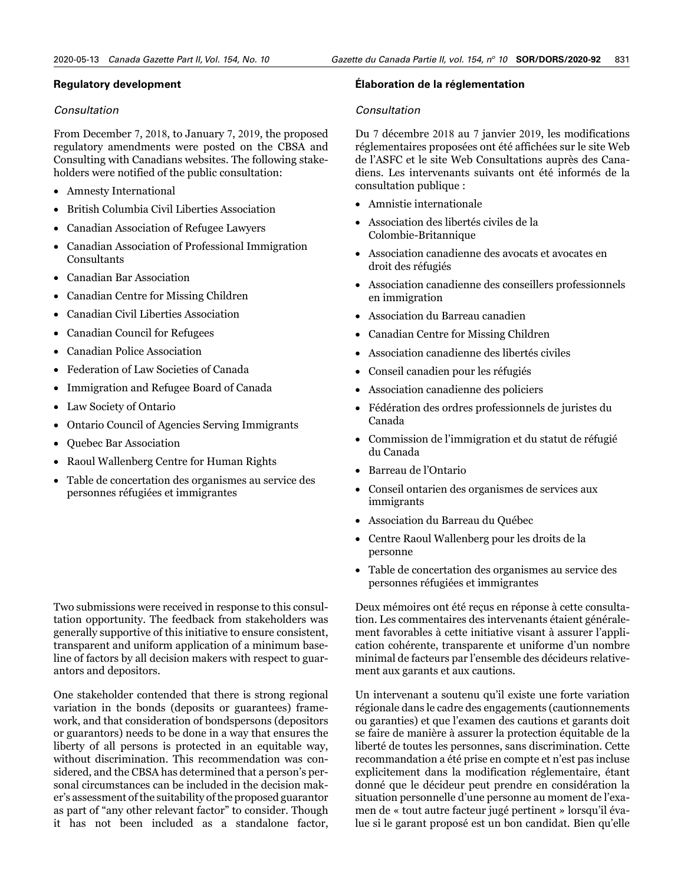#### **Regulatory development**

#### *Consultation*

From December 7, 2018, to January 7, 2019, the proposed regulatory amendments were posted on the CBSA and Consulting with Canadians websites. The following stakeholders were notified of the public consultation:

- Amnesty International
- British Columbia Civil Liberties Association
- Canadian Association of Refugee Lawyers
- Canadian Association of Professional Immigration Consultants
- Canadian Bar Association
- Canadian Centre for Missing Children
- Canadian Civil Liberties Association
- Canadian Council for Refugees
- Canadian Police Association
- Federation of Law Societies of Canada
- Immigration and Refugee Board of Canada
- Law Society of Ontario
- Ontario Council of Agencies Serving Immigrants
- Quebec Bar Association
- Raoul Wallenberg Centre for Human Rights
- Table de concertation des organismes au service des personnes réfugiées et immigrantes

Two submissions were received in response to this consultation opportunity. The feedback from stakeholders was generally supportive of this initiative to ensure consistent, transparent and uniform application of a minimum baseline of factors by all decision makers with respect to guarantors and depositors.

One stakeholder contended that there is strong regional variation in the bonds (deposits or guarantees) framework, and that consideration of bondspersons (depositors or guarantors) needs to be done in a way that ensures the liberty of all persons is protected in an equitable way, without discrimination. This recommendation was considered, and the CBSA has determined that a person's personal circumstances can be included in the decision maker's assessment of the suitability of the proposed guarantor as part of "any other relevant factor" to consider. Though it has not been included as a standalone factor,

#### **Élaboration de la réglementation**

#### *Consultation*

Du 7 décembre 2018 au 7 janvier 2019, les modifications réglementaires proposées ont été affichées sur le site Web de l'ASFC et le site Web Consultations auprès des Canadiens. Les intervenants suivants ont été informés de la consultation publique :

- Amnistie internationale
- Association des libertés civiles de la Colombie-Britannique
- Association canadienne des avocats et avocates en droit des réfugiés
- Association canadienne des conseillers professionnels en immigration
- Association du Barreau canadien
- Canadian Centre for Missing Children
- Association canadienne des libertés civiles
- Conseil canadien pour les réfugiés
- Association canadienne des policiers
- Fédération des ordres professionnels de juristes du Canada
- Commission de l'immigration et du statut de réfugié du Canada
- Barreau de l'Ontario
- Conseil ontarien des organismes de services aux immigrants
- Association du Barreau du Québec
- Centre Raoul Wallenberg pour les droits de la personne
- Table de concertation des organismes au service des personnes réfugiées et immigrantes

Deux mémoires ont été reçus en réponse à cette consultation. Les commentaires des intervenants étaient généralement favorables à cette initiative visant à assurer l'application cohérente, transparente et uniforme d'un nombre minimal de facteurs par l'ensemble des décideurs relativement aux garants et aux cautions.

Un intervenant a soutenu qu'il existe une forte variation régionale dans le cadre des engagements (cautionnements ou garanties) et que l'examen des cautions et garants doit se faire de manière à assurer la protection équitable de la liberté de toutes les personnes, sans discrimination. Cette recommandation a été prise en compte et n'est pas incluse explicitement dans la modification réglementaire, étant donné que le décideur peut prendre en considération la situation personnelle d'une personne au moment de l'examen de « tout autre facteur jugé pertinent » lorsqu'il évalue si le garant proposé est un bon candidat. Bien qu'elle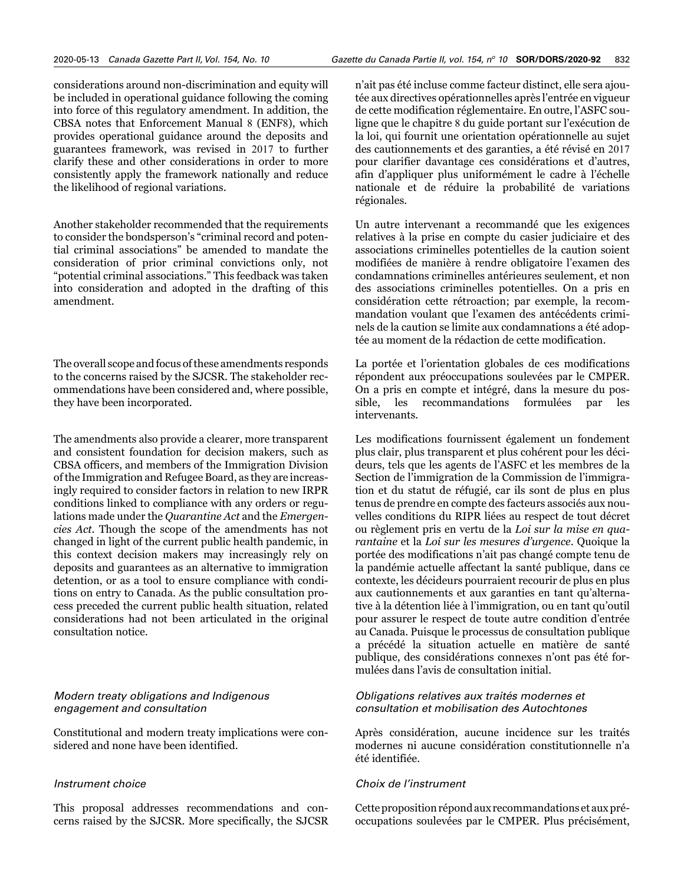considerations around non-discrimination and equity will be included in operational guidance following the coming into force of this regulatory amendment. In addition, the CBSA notes that Enforcement Manual 8 (ENF8), which provides operational guidance around the deposits and guarantees framework, was revised in 2017 to further clarify these and other considerations in order to more consistently apply the framework nationally and reduce the likelihood of regional variations.

Another stakeholder recommended that the requirements to consider the bondsperson's "criminal record and potential criminal associations" be amended to mandate the consideration of prior criminal convictions only, not "potential criminal associations." This feedback was taken into consideration and adopted in the drafting of this amendment.

The overall scope and focus of these amendments responds to the concerns raised by the SJCSR. The stakeholder recommendations have been considered and, where possible, they have been incorporated.

The amendments also provide a clearer, more transparent and consistent foundation for decision makers, such as CBSA officers, and members of the Immigration Division of the Immigration and Refugee Board, as they are increasingly required to consider factors in relation to new IRPR conditions linked to compliance with any orders or regulations made under the *Quarantine Act* and the *Emergencies Act*. Though the scope of the amendments has not changed in light of the current public health pandemic, in this context decision makers may increasingly rely on deposits and guarantees as an alternative to immigration detention, or as a tool to ensure compliance with conditions on entry to Canada. As the public consultation process preceded the current public health situation, related considerations had not been articulated in the original consultation notice.

#### *Modern treaty obligations and Indigenous engagement and consultation*

Constitutional and modern treaty implications were considered and none have been identified.

#### *Instrument choice*

This proposal addresses recommendations and concerns raised by the SJCSR. More specifically, the SJCSR

n'ait pas été incluse comme facteur distinct, elle sera ajoutée aux directives opérationnelles après l'entrée en vigueur de cette modification réglementaire. En outre, l'ASFC souligne que le chapitre 8 du guide portant sur l'exécution de la loi, qui fournit une orientation opérationnelle au sujet des cautionnements et des garanties, a été révisé en 2017 pour clarifier davantage ces considérations et d'autres, afin d'appliquer plus uniformément le cadre à l'échelle nationale et de réduire la probabilité de variations régionales.

Un autre intervenant a recommandé que les exigences relatives à la prise en compte du casier judiciaire et des associations criminelles potentielles de la caution soient modifiées de manière à rendre obligatoire l'examen des condamnations criminelles antérieures seulement, et non des associations criminelles potentielles. On a pris en considération cette rétroaction; par exemple, la recommandation voulant que l'examen des antécédents criminels de la caution se limite aux condamnations a été adoptée au moment de la rédaction de cette modification.

La portée et l'orientation globales de ces modifications répondent aux préoccupations soulevées par le CMPER. On a pris en compte et intégré, dans la mesure du possible, les recommandations formulées par les intervenants.

Les modifications fournissent également un fondement plus clair, plus transparent et plus cohérent pour les décideurs, tels que les agents de l'ASFC et les membres de la Section de l'immigration de la Commission de l'immigration et du statut de réfugié, car ils sont de plus en plus tenus de prendre en compte des facteurs associés aux nouvelles conditions du RIPR liées au respect de tout décret ou règlement pris en vertu de la *Loi sur la mise en quarantaine* et la *Loi sur les mesures d'urgence*. Quoique la portée des modifications n'ait pas changé compte tenu de la pandémie actuelle affectant la santé publique, dans ce contexte, les décideurs pourraient recourir de plus en plus aux cautionnements et aux garanties en tant qu'alternative à la détention liée à l'immigration, ou en tant qu'outil pour assurer le respect de toute autre condition d'entrée au Canada. Puisque le processus de consultation publique a précédé la situation actuelle en matière de santé publique, des considérations connexes n'ont pas été formulées dans l'avis de consultation initial.

#### *Obligations relatives aux traités modernes et consultation et mobilisation des Autochtones*

Après considération, aucune incidence sur les traités modernes ni aucune considération constitutionnelle n'a été identifiée.

#### *Choix de l'instrument*

Cette proposition répond aux recommandations et aux préoccupations soulevées par le CMPER. Plus précisément,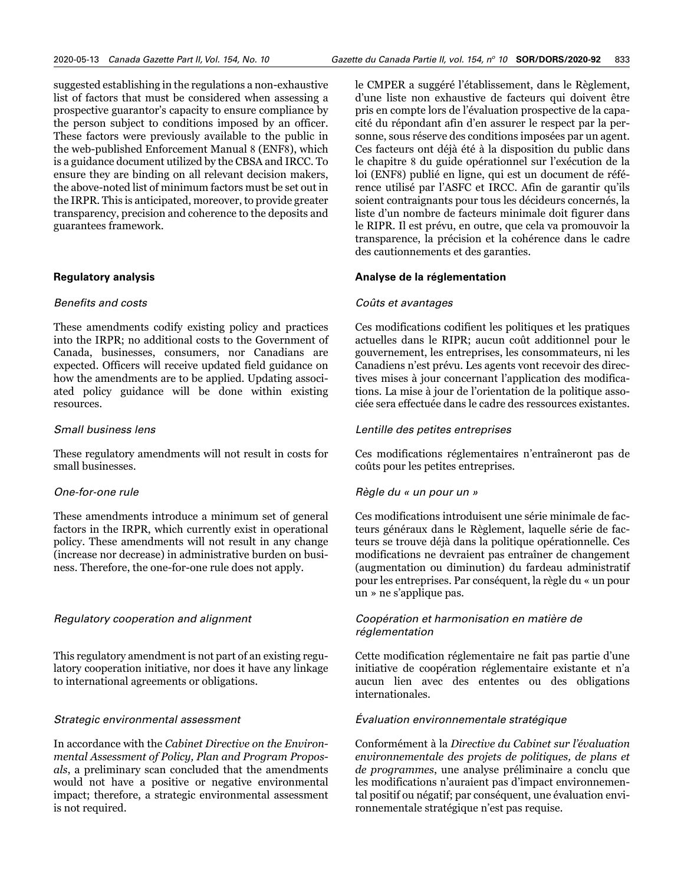suggested establishing in the regulations a non-exhaustive list of factors that must be considered when assessing a prospective guarantor's capacity to ensure compliance by the person subject to conditions imposed by an officer. These factors were previously available to the public in the web-published Enforcement Manual 8 (ENF8), which is a guidance document utilized by the CBSA and IRCC. To ensure they are binding on all relevant decision makers, the above-noted list of minimum factors must be set out in the IRPR. This is anticipated, moreover, to provide greater transparency, precision and coherence to the deposits and guarantees framework.

#### **Regulatory analysis**

#### *Benefits and costs*

These amendments codify existing policy and practices into the IRPR; no additional costs to the Government of Canada, businesses, consumers, nor Canadians are expected. Officers will receive updated field guidance on how the amendments are to be applied. Updating associated policy guidance will be done within existing resources.

#### *Small business lens*

These regulatory amendments will not result in costs for small businesses.

#### *One-for-one rule*

These amendments introduce a minimum set of general factors in the IRPR, which currently exist in operational policy. These amendments will not result in any change (increase nor decrease) in administrative burden on business. Therefore, the one-for-one rule does not apply.

#### *Regulatory cooperation and alignment*

This regulatory amendment is not part of an existing regulatory cooperation initiative, nor does it have any linkage to international agreements or obligations.

#### *Strategic environmental assessment*

In accordance with the *Cabinet Directive on the Environmental Assessment of Policy, Plan and Program Proposals*, a preliminary scan concluded that the amendments would not have a positive or negative environmental impact; therefore, a strategic environmental assessment is not required.

le CMPER a suggéré l'établissement, dans le Règlement, d'une liste non exhaustive de facteurs qui doivent être pris en compte lors de l'évaluation prospective de la capacité du répondant afin d'en assurer le respect par la personne, sous réserve des conditions imposées par un agent. Ces facteurs ont déjà été à la disposition du public dans le chapitre 8 du guide opérationnel sur l'exécution de la loi (ENF8) publié en ligne, qui est un document de référence utilisé par l'ASFC et IRCC. Afin de garantir qu'ils soient contraignants pour tous les décideurs concernés, la liste d'un nombre de facteurs minimale doit figurer dans le RIPR. Il est prévu, en outre, que cela va promouvoir la transparence, la précision et la cohérence dans le cadre des cautionnements et des garanties.

#### **Analyse de la réglementation**

#### *Coûts et avantages*

Ces modifications codifient les politiques et les pratiques actuelles dans le RIPR; aucun coût additionnel pour le gouvernement, les entreprises, les consommateurs, ni les Canadiens n'est prévu. Les agents vont recevoir des directives mises à jour concernant l'application des modifications. La mise à jour de l'orientation de la politique associée sera effectuée dans le cadre des ressources existantes.

#### *Lentille des petites entreprises*

Ces modifications réglementaires n'entraîneront pas de coûts pour les petites entreprises.

#### *Règle du « un pour un »*

Ces modifications introduisent une série minimale de facteurs généraux dans le Règlement, laquelle série de facteurs se trouve déjà dans la politique opérationnelle. Ces modifications ne devraient pas entraîner de changement (augmentation ou diminution) du fardeau administratif pour les entreprises. Par conséquent, la règle du « un pour un » ne s'applique pas.

#### *Coopération et harmonisation en matière de réglementation*

Cette modification réglementaire ne fait pas partie d'une initiative de coopération réglementaire existante et n'a aucun lien avec des ententes ou des obligations internationales.

#### *Évaluation environnementale stratégique*

Conformément à la *Directive du Cabinet sur l'évaluation environnementale des projets de politiques, de plans et de programmes*, une analyse préliminaire a conclu que les modifications n'auraient pas d'impact environnemental positif ou négatif; par conséquent, une évaluation environnementale stratégique n'est pas requise.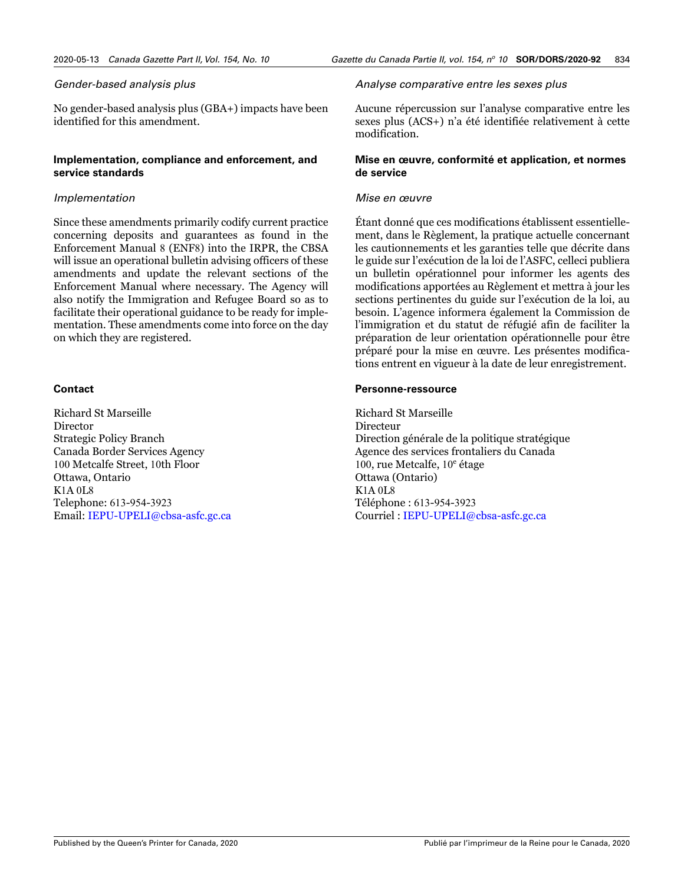#### *Gender-based analysis plus*

No gender-based analysis plus (GBA+) impacts have been identified for this amendment.

#### **Implementation, compliance and enforcement, and service standards**

#### *Implementation*

Since these amendments primarily codify current practice concerning deposits and guarantees as found in the Enforcement Manual 8 (ENF8) into the IRPR, the CBSA will issue an operational bulletin advising officers of these amendments and update the relevant sections of the Enforcement Manual where necessary. The Agency will also notify the Immigration and Refugee Board so as to facilitate their operational guidance to be ready for implementation. These amendments come into force on the day on which they are registered.

#### **Contact**

Richard St Marseille Director Strategic Policy Branch Canada Border Services Agency 100 Metcalfe Street, 10th Floor Ottawa, Ontario K1A 0L8 Telephone: 613-954-3923 Email: [IEPU-UPELI@cbsa-asfc.gc.ca](mailto:IEPU-UPELI%40cbsa-asfc.gc.ca?subject=)

#### *Analyse comparative entre les sexes plus*

Aucune répercussion sur l'analyse comparative entre les sexes plus (ACS+) n'a été identifiée relativement à cette modification.

#### **Mise en œuvre, conformité et application, et normes de service**

#### *Mise en œuvre*

Étant donné que ces modifications établissent essentiellement, dans le Règlement, la pratique actuelle concernant les cautionnements et les garanties telle que décrite dans le guide sur l'exécution de la loi de l'ASFC, celleci publiera un bulletin opérationnel pour informer les agents des modifications apportées au Règlement et mettra à jour les sections pertinentes du guide sur l'exécution de la loi, au besoin. L'agence informera également la Commission de l'immigration et du statut de réfugié afin de faciliter la préparation de leur orientation opérationnelle pour être préparé pour la mise en œuvre. Les présentes modifications entrent en vigueur à la date de leur enregistrement.

#### **Personne-ressource**

Richard St Marseille Directeur Direction générale de la politique stratégique Agence des services frontaliers du Canada 100, rue Metcalfe, 10<sup>e</sup> étage Ottawa (Ontario) K1A 0L8 Téléphone : 613-954-3923 Courriel : [IEPU-UPELI@cbsa-asfc.gc.ca](mailto:IEPU-UPELI%40cbsa-asfc.gc.ca?subject=)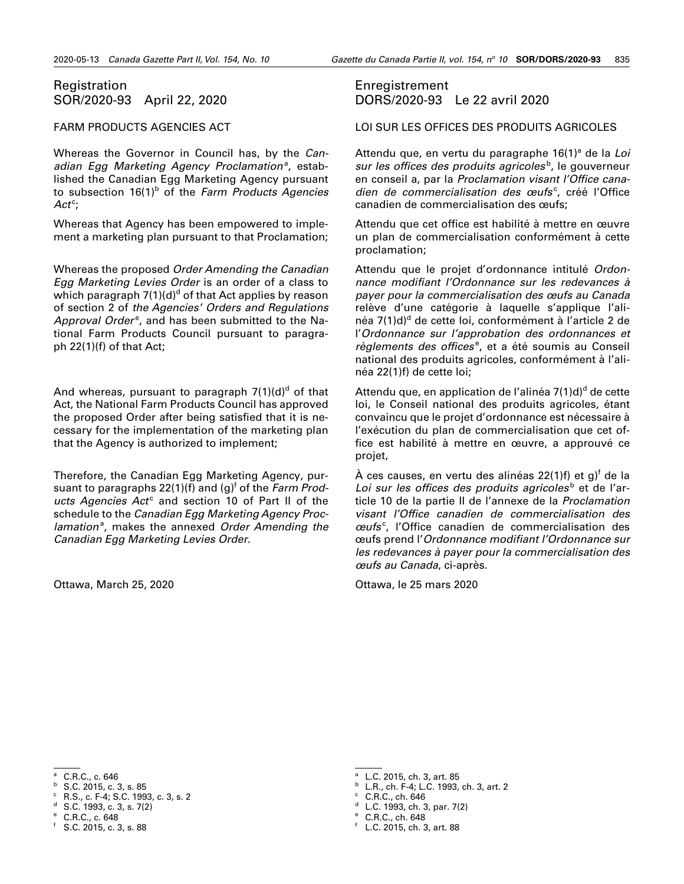### <span id="page-10-0"></span>Registration SOR/2020-93 April 22, 2020

#### FARM PRODUCTS AGENCIES ACT

Whereas the Governor in Council has, by the *Can*adian Egg Marketing Agency Proclamation<sup>a</sup>, established the Canadian Egg Marketing Agency pursuant to subsection 16(1)<sup>b</sup> of the *Farm Products Agencies* Act<sup>c</sup>;

Whereas that Agency has been empowered to implement a marketing plan pursuant to that Proclamation;

Whereas the proposed *Order Amending the Canadian Egg Marketing Levies Order* is an order of a class to which paragraph 7(1)(d) $^{\text{d}}$  of that Act applies by reason of section 2 of *the Agencies' Orders and Regulations*  Approval Order<sup>e</sup>, and has been submitted to the National Farm Products Council pursuant to paragraph 22(1)(f) of that Act;

And whereas, pursuant to paragraph 7(1)(d)<sup>d</sup> of that Act, the National Farm Products Council has approved the proposed Order after being satisfied that it is necessary for the implementation of the marketing plan that the Agency is authorized to implement;

Therefore, the Canadian Egg Marketing Agency, pursuant to paragraphs 22(1)(f) and (g)<sup>f</sup> of the *Farm Prod*ucts Agencies Act<sup>c</sup> and section 10 of Part II of the schedule to the *Canadian Egg Marketing Agency Proc*lamation<sup>a</sup>, makes the annexed Order Amending the *Canadian Egg Marketing Levies Order*.

Ottawa, March 25, 2020

### Enregistrement DORS/2020-93 Le 22 avril 2020

LOI SUR LES OFFICES DES PRODUITS AGRICOLES

Attendu que, en vertu du paragraphe 16(1)<sup>a</sup> de la Loi sur les offices des produits agricoles<sup>b</sup>, le gouverneur en conseil a, par la *Proclamation visant l'Office cana*dien de commercialisation des œufs<sup>c</sup>, créé l'Office canadien de commercialisation des œufs;

Attendu que cet office est habilité à mettre en œuvre un plan de commercialisation conformément à cette proclamation;

Attendu que le projet d'ordonnance intitulé *Ordonnance modifiant l'Ordonnance sur les redevances à payer pour la commercialisation des œufs au Canada* relève d'une catégorie à laquelle s'applique l'alinéa 7(1)d)<sup>d</sup> de cette loi, conformément à l'article 2 de l'*Ordonnance sur l'approbation des ordonnances et*  règlements des offices<sup>e</sup>, et a été soumis au Conseil national des produits agricoles, conformément à l'alinéa 22(1)f) de cette loi;

Attendu que, en application de l'alinéa 7(1)d)<sup>d</sup> de cette loi, le Conseil national des produits agricoles, étant convaincu que le projet d'ordonnance est nécessaire à l'exécution du plan de commercialisation que cet office est habilité à mettre en œuvre, a approuvé ce projet,

À ces causes, en vertu des alinéas 22(1)f) et g)<sup>f</sup> de la Loi sur les offices des produits agricoles<sup>b</sup> et de l'article 10 de la partie II de l'annexe de la *Proclamation visant l'Office canadien de commercialisation des œufs*<sup>c</sup> , l'Office canadien de commercialisation des œufs prend l'*Ordonnance modifiant l'Ordonnance sur les redevances à payer pour la commercialisation des œufs au Canada*, ci-après.

Ottawa, le 25 mars 2020

<sup>c</sup> R.S., c. F-4; S.C. 1993, c. 3, s. 2

<sup>b</sup> L.R., ch. F-4; L.C. 1993, ch. 3, art. 2

<sup>a</sup> C.R.C., c. 646

 $b$  S.C. 2015, c. 3, s. 85

 $d$  S.C. 1993, c. 3, s. 7(2)

<sup>e</sup> C.R.C., c. 648

 $f$  S.C. 2015, c. 3, s. 88

<sup>a</sup> L.C. 2015, ch. 3, art. 85

 $c$  C.R.C., ch. 646

 $d$  L.C. 1993, ch. 3, par. 7(2) <sup>e</sup> C.R.C., ch. 648

<sup>f</sup> L.C. 2015, ch. 3, art. 88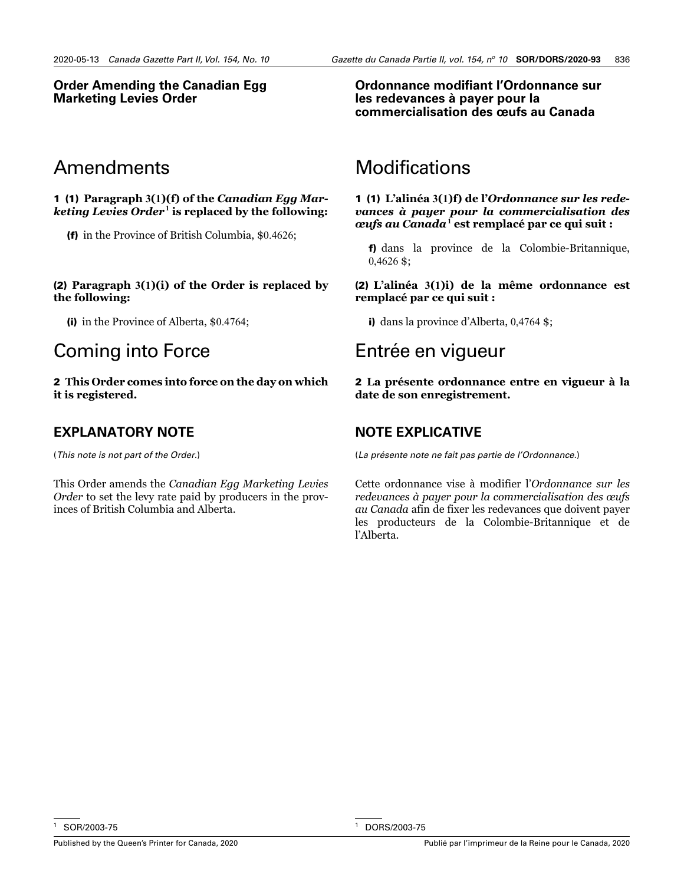### **Order Amending the Canadian Egg Marketing Levies Order**

# Amendments

1 (1) **Paragraph 3(1)(f) of the** *Canadian Egg Marketing Levies Order*7**<sup>1</sup> is replaced by the following:**

(f) in the Province of British Columbia, \$0.4626;

#### (2) **Paragraph 3(1)(i) of the Order is replaced by the following:**

(i) in the Province of Alberta, \$0.4764;

# Coming into Force

2 **This Order comes into force on the day on which it is registered.** 

# **EXPLANATORY NOTE**

(*This note is not part of the Order.*)

This Order amends the *Canadian Egg Marketing Levies Order* to set the levy rate paid by producers in the provinces of British Columbia and Alberta.

### **Ordonnance modifiant l'Ordonnance sur les redevances à payer pour la commercialisation des œufs au Canada**

# Modifications

1 (1) **L'alinéa 3(1)f) de l'***Ordonnance sur les redevances à payer pour la commercialisation des œufs au Canada*7**<sup>1</sup> est remplacé par ce qui suit :**

f) dans la province de la Colombie-Britannique, 0,4626 \$;

(2) **L'alinéa 3(1)i) de la même ordonnance est remplacé par ce qui suit :**

i) dans la province d'Alberta, 0,4764 \$;

# Entrée en vigueur

2 **La présente ordonnance entre en vigueur à la date de son enregistrement.** 

# **NOTE EXPLICATIVE**

(*La présente note ne fait pas partie de l'Ordonnance.*)

Cette ordonnance vise à modifier l'*Ordonnance sur les redevances à payer pour la commercialisation des œufs au Canada* afin de fixer les redevances que doivent payer les producteurs de la Colombie-Britannique et de l'Alberta.

SOR/2003-75

<sup>1</sup> DORS/2003-75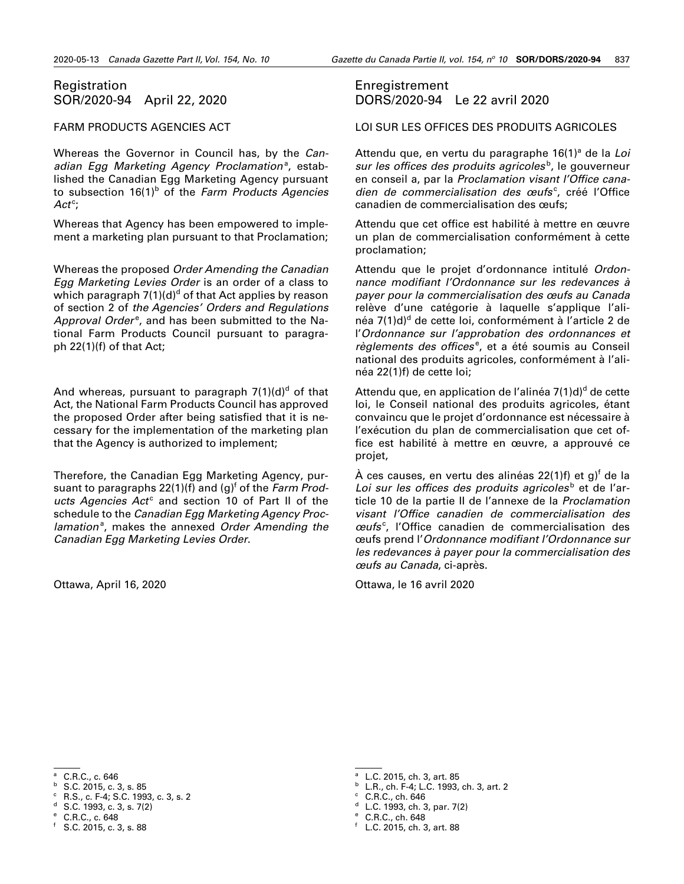### <span id="page-12-0"></span>Registration SOR/2020-94 April 22, 2020

#### FARM PRODUCTS AGENCIES ACT

Whereas the Governor in Council has, by the *Can*adian Egg Marketing Agency Proclamation<sup>a</sup>, established the Canadian Egg Marketing Agency pursuant to subsection 16(1)<sup>b</sup> of the *Farm Products Agencies* Act<sup>c</sup>;

Whereas that Agency has been empowered to implement a marketing plan pursuant to that Proclamation;

Whereas the proposed *Order Amending the Canadian Egg Marketing Levies Order* is an order of a class to which paragraph 7(1)(d) $^{\text{d}}$  of that Act applies by reason of section 2 of *the Agencies' Orders and Regulations*  Approval Order<sup>e</sup>, and has been submitted to the National Farm Products Council pursuant to paragraph 22(1)(f) of that Act;

And whereas, pursuant to paragraph 7(1)(d)<sup>d</sup> of that Act, the National Farm Products Council has approved the proposed Order after being satisfied that it is necessary for the implementation of the marketing plan that the Agency is authorized to implement;

Therefore, the Canadian Egg Marketing Agency, pursuant to paragraphs 22(1)(f) and (g)<sup>f</sup> of the *Farm Prod*ucts Agencies Act<sup>c</sup> and section 10 of Part II of the schedule to the *Canadian Egg Marketing Agency Proc*lamation<sup>a</sup>, makes the annexed Order Amending the *Canadian Egg Marketing Levies Order*.

Ottawa, April 16, 2020

### Enregistrement DORS/2020-94 Le 22 avril 2020

#### LOI SUR LES OFFICES DES PRODUITS AGRICOLES

Attendu que, en vertu du paragraphe 16(1)<sup>a</sup> de la Loi sur les offices des produits agricoles<sup>b</sup>, le gouverneur en conseil a, par la *Proclamation visant l'Office cana*dien de commercialisation des œufs<sup>c</sup>, créé l'Office canadien de commercialisation des œufs;

Attendu que cet office est habilité à mettre en œuvre un plan de commercialisation conformément à cette proclamation;

Attendu que le projet d'ordonnance intitulé *Ordonnance modifiant l'Ordonnance sur les redevances à payer pour la commercialisation des œufs au Canada* relève d'une catégorie à laquelle s'applique l'alinéa 7(1)d)<sup>d</sup> de cette loi, conformément à l'article 2 de l'*Ordonnance sur l'approbation des ordonnances et*  règlements des offices<sup>e</sup>, et a été soumis au Conseil national des produits agricoles, conformément à l'alinéa 22(1)f) de cette loi;

Attendu que, en application de l'alinéa 7(1)d)<sup>d</sup> de cette loi, le Conseil national des produits agricoles, étant convaincu que le projet d'ordonnance est nécessaire à l'exécution du plan de commercialisation que cet office est habilité à mettre en œuvre, a approuvé ce projet,

À ces causes, en vertu des alinéas 22(1)f) et g)<sup>f</sup> de la Loi sur les offices des produits agricoles<sup>b</sup> et de l'article 10 de la partie II de l'annexe de la *Proclamation visant l'Office canadien de commercialisation des œufs*<sup>c</sup> , l'Office canadien de commercialisation des œufs prend l'*Ordonnance modifiant l'Ordonnance sur les redevances à payer pour la commercialisation des œufs au Canada*, ci-après.

Ottawa, le 16 avril 2020

<sup>c</sup> R.S., c. F-4; S.C. 1993, c. 3, s. 2

<sup>b</sup> L.R., ch. F-4; L.C. 1993, ch. 3, art. 2

 $d$  L.C. 1993, ch. 3, par. 7(2) <sup>e</sup> C.R.C., ch. 648

<sup>a</sup> C.R.C., c. 646

 $b$  S.C. 2015, c. 3, s. 85

 $d$  S.C. 1993, c. 3, s. 7(2)

<sup>e</sup> C.R.C., c. 648

 $f$  S.C. 2015, c. 3, s. 88

<sup>a</sup> L.C. 2015, ch. 3, art. 85

 $c$  C.R.C., ch. 646

<sup>f</sup> L.C. 2015, ch. 3, art. 88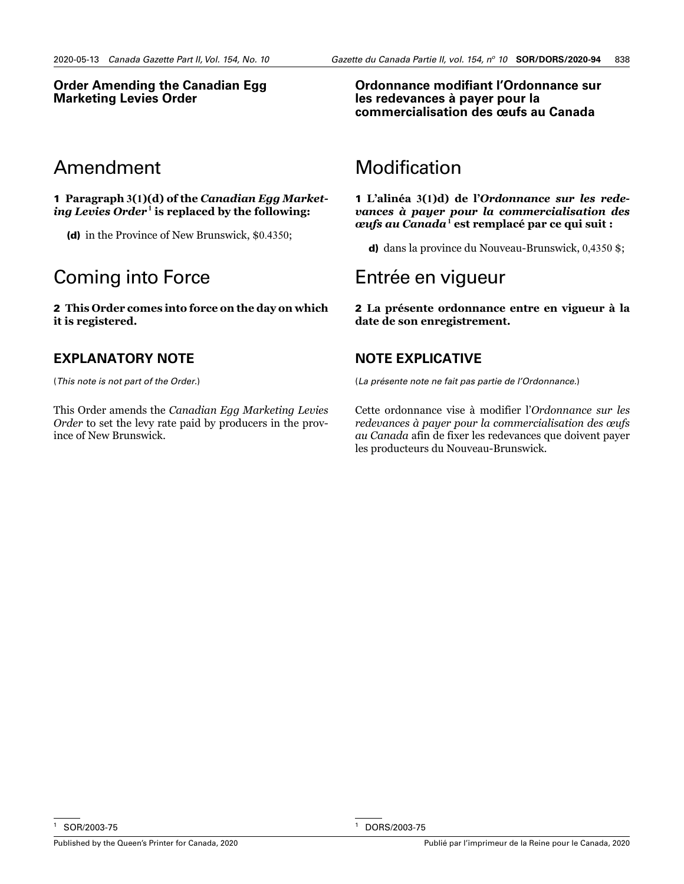### **Order Amending the Canadian Egg Marketing Levies Order**

# Amendment

1 **Paragraph 3(1)(d) of the** *Canadian Egg Marketing Levies Order*7**<sup>1</sup> is replaced by the following:**

(d) in the Province of New Brunswick, \$0.4350;

# Coming into Force

2 **This Order comes into force on the day on which it is registered.** 

# **EXPLANATORY NOTE**

(*This note is not part of the Order.*)

This Order amends the *Canadian Egg Marketing Levies Order* to set the levy rate paid by producers in the province of New Brunswick.

**Ordonnance modifiant l'Ordonnance sur les redevances à payer pour la commercialisation des œufs au Canada**

# Modification

1 **L'alinéa 3(1)d) de l'***Ordonnance sur les redevances à payer pour la commercialisation des œufs au Canada*7**<sup>1</sup> est remplacé par ce qui suit :**

d) dans la province du Nouveau-Brunswick, 0,4350 \$;

# Entrée en vigueur

2 **La présente ordonnance entre en vigueur à la date de son enregistrement.** 

# **NOTE EXPLICATIVE**

(*La présente note ne fait pas partie de l'Ordonnance.*)

Cette ordonnance vise à modifier l'*Ordonnance sur les redevances à payer pour la commercialisation des œufs au Canada* afin de fixer les redevances que doivent payer les producteurs du Nouveau-Brunswick.

<sup>1</sup> SOR/2003-75

<sup>1</sup> DORS/2003-75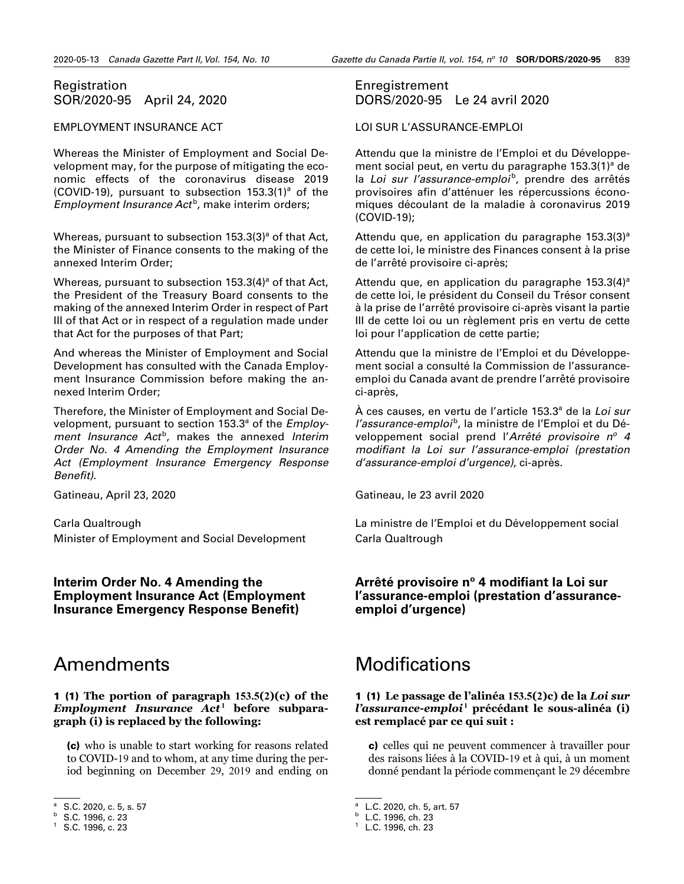### <span id="page-14-0"></span>Registration SOR/2020-95 April 24, 2020

#### EMPLOYMENT INSURANCE ACT

Whereas the Minister of Employment and Social Development may, for the purpose of mitigating the economic effects of the coronavirus disease 2019 (COVID-19), pursuant to subsection  $153.3(1)^a$  of the Employment Insurance Act<sup>b</sup>, make interim orders;

Whereas, pursuant to subsection 153.3(3)<sup>a</sup> of that Act, the Minister of Finance consents to the making of the annexed Interim Order;

Whereas, pursuant to subsection 153.3(4)<sup>a</sup> of that Act, the President of the Treasury Board consents to the making of the annexed Interim Order in respect of Part III of that Act or in respect of a regulation made under that Act for the purposes of that Part;

And whereas the Minister of Employment and Social Development has consulted with the Canada Employment Insurance Commission before making the annexed Interim Order;

Therefore, the Minister of Employment and Social Development, pursuant to section 153.3<sup>a</sup> of the *Employ*ment *Insurance Act<sup>b</sup>*, makes the annexed *Interim Order No. 4 Amending the Employment Insurance Act (Employment Insurance Emergency Response Benefit)*.

Gatineau, April 23, 2020

Carla Qualtrough Minister of Employment and Social Development

**Interim Order No. 4 Amending the Employment Insurance Act (Employment Insurance Emergency Response Benefit)**

# Amendments

1 (1) **The portion of paragraph 153.5(2)(c) of the**  *Employment Insurance Act*<sup>1</sup> before subpara**graph (i) is replaced by the following:**

(c) who is unable to start working for reasons related to COVID-19 and to whom, at any time during the period beginning on December 29, 2019 and ending on

### Enregistrement DORS/2020-95 Le 24 avril 2020

LOI SUR L'ASSURANCE-EMPLOI

Attendu que la ministre de l'Emploi et du Développement social peut, en vertu du paragraphe 153.3(1)<sup>a</sup> de la *Loi sur l'assurance-emploi*<sup>b</sup>, prendre des arrêtés provisoires afin d'atténuer les répercussions économiques découlant de la maladie à coronavirus 2019 (COVID-19);

Attendu que, en application du paragraphe  $153.3(3)^a$ de cette loi, le ministre des Finances consent à la prise de l'arrêté provisoire ci-après;

Attendu que, en application du paragraphe 153.3(4)<sup>a</sup> de cette loi, le président du Conseil du Trésor consent à la prise de l'arrêté provisoire ci-après visant la partie III de cette loi ou un règlement pris en vertu de cette loi pour l'application de cette partie;

Attendu que la ministre de l'Emploi et du Développement social a consulté la Commission de l'assuranceemploi du Canada avant de prendre l'arrêté provisoire ci-après,

À ces causes, en vertu de l'article 153.3ª de la *Loi sur l'assurance-emploi*<sup>b</sup>, la ministre de l'Emploi et du Développement social prend l'Arrêté provisoire n<sup>o</sup> 4 *modifiant la Loi sur l'assurance-emploi (prestation d'assurance-emploi d'urgence)*, ci-après.

Gatineau, le 23 avril 2020

La ministre de l'Emploi et du Développement social Carla Qualtrough

### Arrêté provisoire nº 4 modifiant la Loi sur **l'assurance-emploi (prestation d'assuranceemploi d'urgence)**

# **Modifications**

#### 1 (1) **Le passage de l'alinéa 153.5(2)c) de la** *Loi sur l'assurance-emploi*<sup>1</sup> précédant le sous-alinéa (i) **est remplacé par ce qui suit :**

c) celles qui ne peuvent commencer à travailler pour des raisons liées à la COVID-19 et à qui, à un moment donné pendant la période commençant le 29 décembre

S.C. 2020, c. 5, s. 57

<sup>b</sup> S.C. 1996, c. 23

<sup>1</sup> S.C. 1996, c. 23

<sup>&</sup>lt;sup>a</sup> L.C. 2020, ch. 5, art. 57

<sup>b</sup> L.C. 1996, ch. 23

<sup>1</sup> L.C. 1996, ch. 23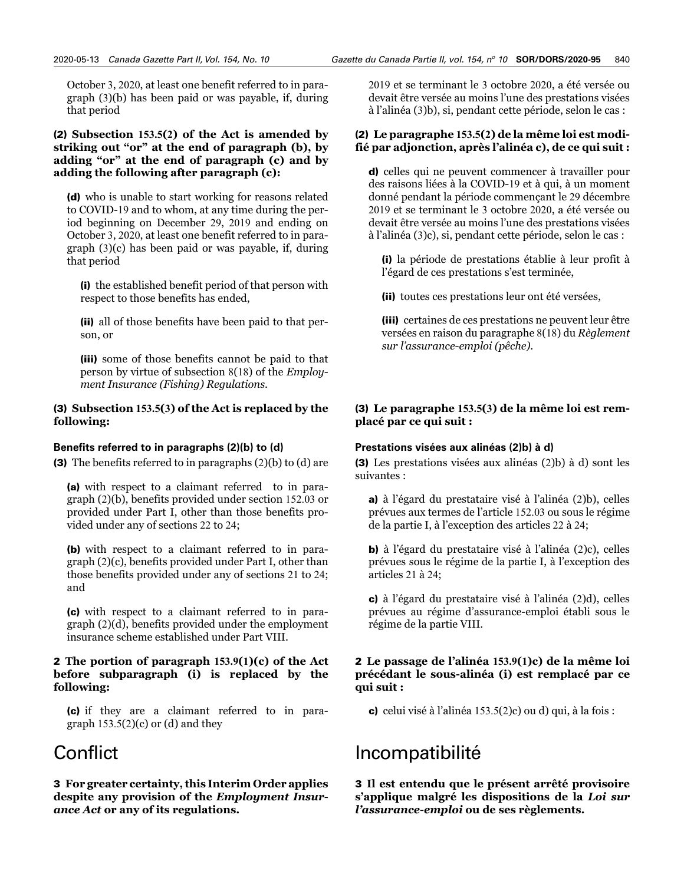October 3, 2020, at least one benefit referred to in paragraph (3)(b) has been paid or was payable, if, during that period

#### (2) **Subsection 153.5(2) of the Act is amended by striking out "or" at the end of paragraph (b), by adding "or" at the end of paragraph (c) and by adding the following after paragraph (c):**

(d) who is unable to start working for reasons related to COVID-19 and to whom, at any time during the period beginning on December 29, 2019 and ending on October 3, 2020, at least one benefit referred to in paragraph (3)(c) has been paid or was payable, if, during that period

(i) the established benefit period of that person with respect to those benefits has ended,

(ii) all of those benefits have been paid to that person, or

(iii) some of those benefits cannot be paid to that person by virtue of subsection 8(18) of the *Employment Insurance (Fishing) Regulations*.

#### (3) **Subsection 153.5(3) of the Act is replaced by the following:**

#### **Benefits referred to in paragraphs (2)(b) to (d)**

(3) The benefits referred to in paragraphs (2)(b) to (d) are

(a) with respect to a claimant referred to in paragraph (2)(b), benefits provided under section 152.03 or provided under Part I, other than those benefits provided under any of sections 22 to 24;

(b) with respect to a claimant referred to in paragraph (2)(c), benefits provided under Part I, other than those benefits provided under any of sections 21 to 24; and

(c) with respect to a claimant referred to in paragraph (2)(d), benefits provided under the employment insurance scheme established under Part VIII.

#### 2 **The portion of paragraph 153.9(1)(c) of the Act before subparagraph (i) is replaced by the following:**

(c) if they are a claimant referred to in paragraph  $153.5(2)(c)$  or (d) and they

# **Conflict**

3 **For greater certainty, this Interim Order applies despite any provision of the** *Employment Insurance Act* **or any of its regulations.**

2019 et se terminant le 3 octobre 2020, a été versée ou devait être versée au moins l'une des prestations visées à l'alinéa (3)b), si, pendant cette période, selon le cas :

#### (2) **Le paragraphe 153.5(2) de la même loi est modifié par adjonction, après l'alinéa c), de ce qui suit :**

d) celles qui ne peuvent commencer à travailler pour des raisons liées à la COVID-19 et à qui, à un moment donné pendant la période commençant le 29 décembre 2019 et se terminant le 3 octobre 2020, a été versée ou devait être versée au moins l'une des prestations visées à l'alinéa (3)c), si, pendant cette période, selon le cas :

(i) la période de prestations établie à leur profit à l'égard de ces prestations s'est terminée,

(ii) toutes ces prestations leur ont été versées,

(iii) certaines de ces prestations ne peuvent leur être versées en raison du paragraphe 8(18) du *Règlement sur l'assurance-emploi (pêche)*.

### (3) **Le paragraphe 153.5(3) de la même loi est remplacé par ce qui suit :**

#### **Prestations visées aux alinéas (2)b) à d)**

(3) Les prestations visées aux alinéas (2)b) à d) sont les suivantes :

a) à l'égard du prestataire visé à l'alinéa (2)b), celles prévues aux termes de l'article 152.03 ou sous le régime de la partie I, à l'exception des articles 22 à 24;

b) à l'égard du prestataire visé à l'alinéa (2)c), celles prévues sous le régime de la partie I, à l'exception des articles 21 à 24;

c) à l'égard du prestataire visé à l'alinéa (2)d), celles prévues au régime d'assurance-emploi établi sous le régime de la partie VIII.

#### 2 **Le passage de l'alinéa 153.9(1)c) de la même loi précédant le sous-alinéa (i) est remplacé par ce qui suit :**

c) celui visé à l'alinéa 153.5(2)c) ou d) qui, à la fois :

# Incompatibilité

3 **Il est entendu que le présent arrêté provisoire s'applique malgré les dispositions de la** *Loi sur l'assurance-emploi* **ou de ses règlements.**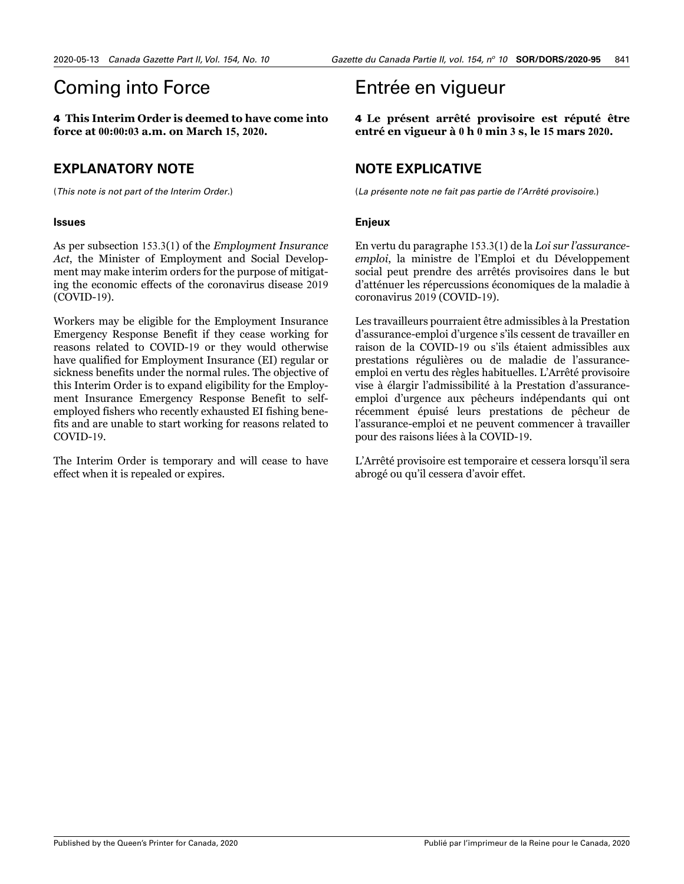# Coming into Force

4 **This Interim Order is deemed to have come into force at 00:00:03 a.m. on March 15, 2020.** 

# **EXPLANATORY NOTE**

(*This note is not part of the Interim Order.*)

#### **Issues**

As per subsection 153.3(1) of the *Employment Insurance Act*, the Minister of Employment and Social Development may make interim orders for the purpose of mitigating the economic effects of the coronavirus disease 2019 (COVID-19).

Workers may be eligible for the Employment Insurance Emergency Response Benefit if they cease working for reasons related to COVID-19 or they would otherwise have qualified for Employment Insurance (EI) regular or sickness benefits under the normal rules. The objective of this Interim Order is to expand eligibility for the Employment Insurance Emergency Response Benefit to selfemployed fishers who recently exhausted EI fishing benefits and are unable to start working for reasons related to COVID-19.

The Interim Order is temporary and will cease to have effect when it is repealed or expires.

# Entrée en vigueur

4 **Le présent arrêté provisoire est réputé être entré en vigueur à 0 h 0 min 3 s, le 15 mars 2020.** 

# **NOTE EXPLICATIVE**

(*La présente note ne fait pas partie de l'Arrêté provisoire.*)

#### **Enjeux**

En vertu du paragraphe 153.3(1) de la *Loi sur l'assuranceemploi*, la ministre de l'Emploi et du Développement social peut prendre des arrêtés provisoires dans le but d'atténuer les répercussions économiques de la maladie à coronavirus 2019 (COVID-19).

Les travailleurs pourraient être admissibles à la Prestation d'assurance-emploi d'urgence s'ils cessent de travailler en raison de la COVID-19 ou s'ils étaient admissibles aux prestations régulières ou de maladie de l'assuranceemploi en vertu des règles habituelles. L'Arrêté provisoire vise à élargir l'admissibilité à la Prestation d'assuranceemploi d'urgence aux pêcheurs indépendants qui ont récemment épuisé leurs prestations de pêcheur de l'assurance-emploi et ne peuvent commencer à travailler pour des raisons liées à la COVID-19.

L'Arrêté provisoire est temporaire et cessera lorsqu'il sera abrogé ou qu'il cessera d'avoir effet.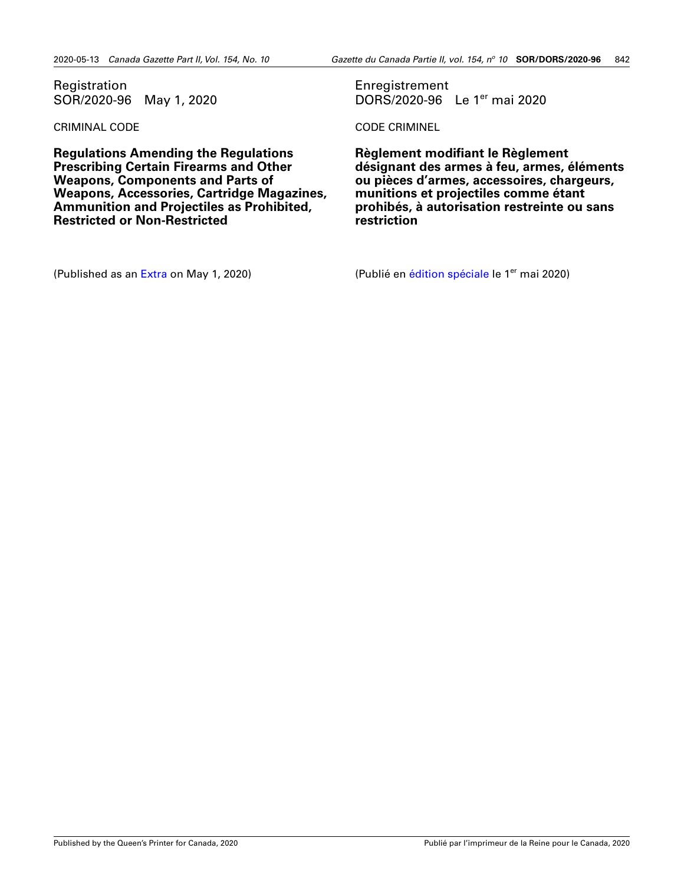<span id="page-17-0"></span>Registration SOR/2020-96 May 1, 2020

CRIMINAL CODE

**Regulations Amending the Regulations Prescribing Certain Firearms and Other Weapons, Components and Parts of Weapons, Accessories, Cartridge Magazines, Ammunition and Projectiles as Prohibited, Restricted or Non-Restricted**

(Published as an [Extra](http://gazette.gc.ca/rp-pr/p2/2020/2020-05-01-x3/pdf/g2-154x3.pdf) on May 1, 2020)

Enregistrement DORS/2020-96 Le 1er mai 2020

CODE CRIMINEL

**Règlement modifiant le Règlement désignant des armes à feu, armes, éléments ou pièces d'armes, accessoires, chargeurs, munitions et projectiles comme étant prohibés, à autorisation restreinte ou sans restriction**

(Publié en [édition spéciale](http://gazette.gc.ca/rp-pr/p2/2020/2020-05-01-x3/pdf/g2-154x3.pdf) le 1<sup>er</sup> mai 2020)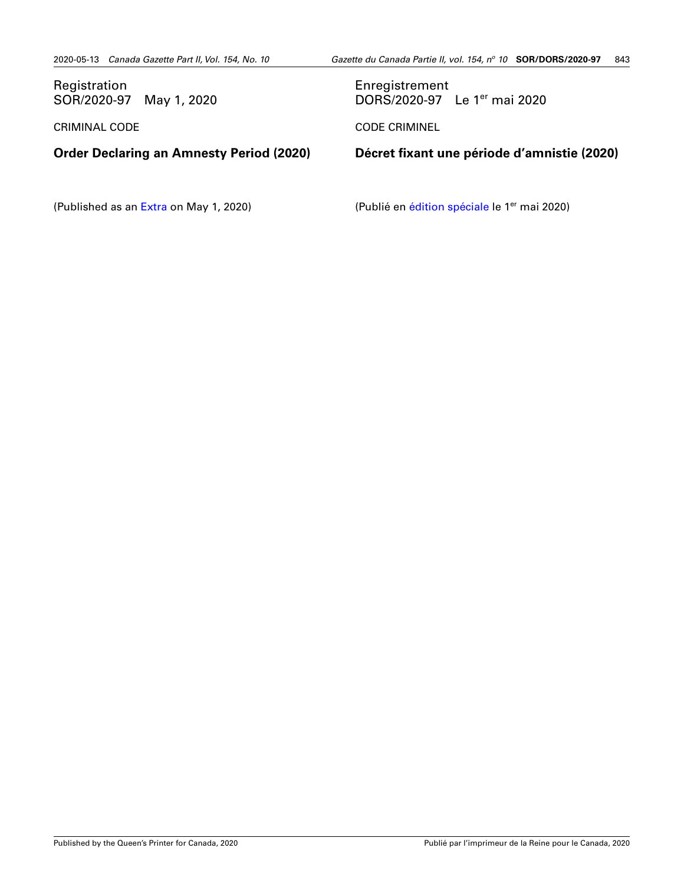<span id="page-18-0"></span>

| Registration<br>SOR/2020-97 May 1, 2020         | Enregistrement<br>DORS/2020-97 Le 1 <sup>er</sup> mai 2020 |
|-------------------------------------------------|------------------------------------------------------------|
| <b>CRIMINAL CODE</b>                            | <b>CODE CRIMINEL</b>                                       |
|                                                 |                                                            |
| <b>Order Declaring an Amnesty Period (2020)</b> | Décret fixant une période d'amnistie (2020)                |

(Published as an [Extra](http://gazette.gc.ca/rp-pr/p2/2020/2020-05-01-x3/pdf/g2-154x3.pdf#page=67) on May 1, 2020)

(Publié en [édition spéciale](http://gazette.gc.ca/rp-pr/p2/2020/2020-05-01-x3/pdf/g2-154x3.pdf#page=67) le 1<sup>er</sup> mai 2020)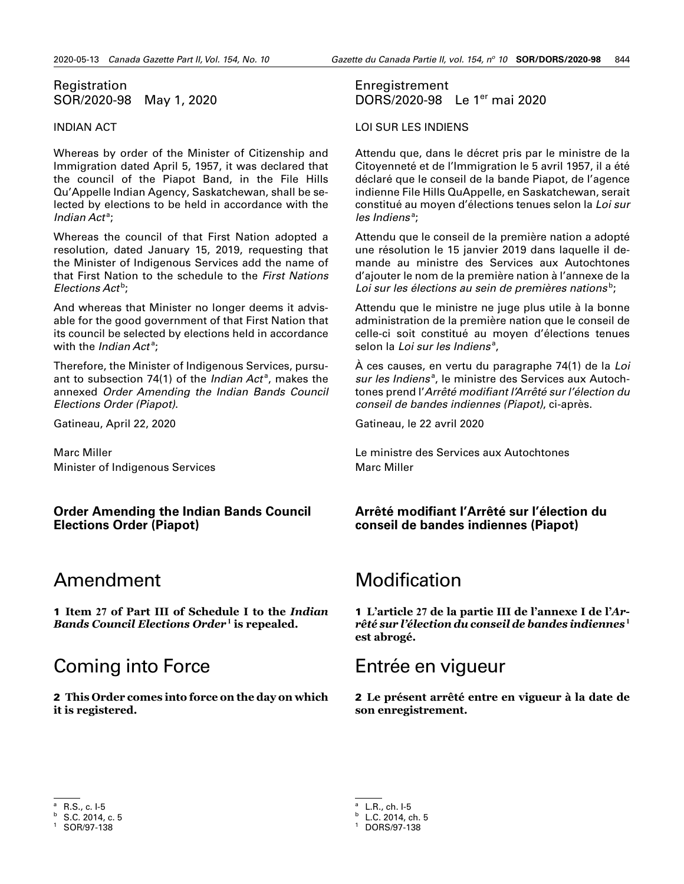### <span id="page-19-0"></span>Registration SOR/2020-98 May 1, 2020

#### INDIAN ACT

Whereas by order of the Minister of Citizenship and Immigration dated April 5, 1957, it was declared that the council of the Piapot Band, in the File Hills Qu'Appelle Indian Agency, Saskatchewan, shall be selected by elections to be held in accordance with the Indian Act<sup>a</sup>;

Whereas the council of that First Nation adopted a resolution, dated January 15, 2019, requesting that the Minister of Indigenous Services add the name of that First Nation to the schedule to the *First Nations*  Elections Act<sup>b</sup>;

And whereas that Minister no longer deems it advisable for the good government of that First Nation that its council be selected by elections held in accordance with the *Indian Act<sup>a</sup>*;

Therefore, the Minister of Indigenous Services, pursuant to subsection 74(1) of the *Indian Act<sup>a</sup>*, makes the annexed *Order Amending the Indian Bands Council Elections Order (Piapot)*.

Gatineau, April 22, 2020

Marc Miller Minister of Indigenous Services

**Order Amending the Indian Bands Council Elections Order (Piapot)**

# Amendment

1 **Item 27 of Part III of Schedule I to the** *Indian Bands Council Elections Order*3**<sup>1</sup> is repealed.**

# Coming into Force

2 **This Order comes into force on the day on which it is registered.** 

### Enregistrement DORS/2020-98 Le 1er mai 2020

#### LOI SUR LES INDIENS

Attendu que, dans le décret pris par le ministre de la Citoyenneté et de l'Immigration le 5 avril 1957, il a été déclaré que le conseil de la bande Piapot, de l'agence indienne File Hills QuAppelle, en Saskatchewan, serait constitué au moyen d'élections tenues selon la *Loi sur*  les Indiens<sup>a</sup>;

Attendu que le conseil de la première nation a adopté une résolution le 15 janvier 2019 dans laquelle il demande au ministre des Services aux Autochtones d'ajouter le nom de la première nation à l'annexe de la Loi sur les élections au sein de premières nations<sup>b</sup>;

Attendu que le ministre ne juge plus utile à la bonne administration de la première nation que le conseil de celle-ci soit constitué au moyen d'élections tenues selon la *Loi sur les Indiens<sup>a</sup>,* 

À ces causes, en vertu du paragraphe 74(1) de la *Loi*  sur les Indiens<sup>a</sup>, le ministre des Services aux Autochtones prend l'*Arrêté modifiant l'Arrêté sur l'élection du conseil de bandes indiennes (Piapot)*, ci-après.

Gatineau, le 22 avril 2020

Le ministre des Services aux Autochtones Marc Miller

### **Arrêté modifiant l'Arrêté sur l'élection du conseil de bandes indiennes (Piapot)**

# Modification

1 **L'article 27 de la partie III de l'annexe I de l'***Ar*rêté sur l'élection du conseil de bandes indiennes <sup>1</sup> **est abrogé.**

# Entrée en vigueur

2 **Le présent arrêté entre en vigueur à la date de son enregistrement.** 

<sup>a</sup> R.S., c. I-5

 $b$  S.C. 2014, c. 5

SOR/97-138

L.R., ch. I-5

 $b$  L.C. 2014, ch. 5

<sup>1</sup> DORS/97-138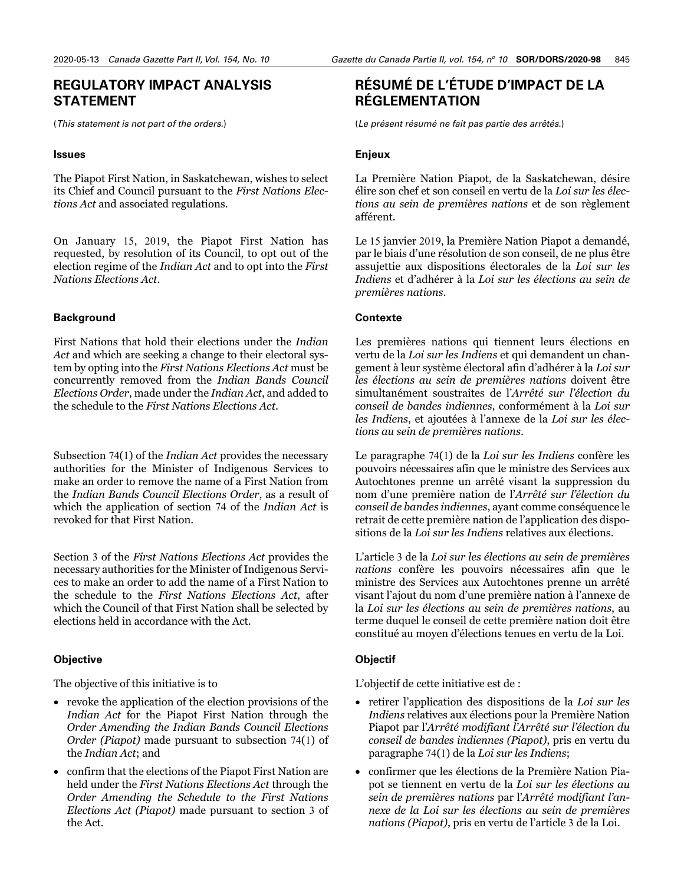### <span id="page-20-0"></span>**REGULATORY IMPACT ANALYSIS STATEMENT**

(*This statement is not part of the orders.*)

#### **Issues**

The Piapot First Nation, in Saskatchewan, wishes to select its Chief and Council pursuant to the *First Nations Elections Act* and associated regulations.

On January 15, 2019, the Piapot First Nation has requested, by resolution of its Council, to opt out of the election regime of the *Indian Act* and to opt into the *First Nations Elections Act*.

#### **Background**

First Nations that hold their elections under the *Indian Act* and which are seeking a change to their electoral system by opting into the *First Nations Elections Act* must be concurrently removed from the *Indian Bands Council Elections Order*, made under the *Indian Act*, and added to the schedule to the *First Nations Elections Act*.

Subsection 74(1) of the *Indian Act* provides the necessary authorities for the Minister of Indigenous Services to make an order to remove the name of a First Nation from the *Indian Bands Council Elections Order*, as a result of which the application of section 74 of the *Indian Act* is revoked for that First Nation.

Section 3 of the *First Nations Elections Act* provides the necessary authorities for the Minister of Indigenous Services to make an order to add the name of a First Nation to the schedule to the *First Nations Elections Act*, after which the Council of that First Nation shall be selected by elections held in accordance with the Act.

#### **Objective**

The objective of this initiative is to

- revoke the application of the election provisions of the *Indian Act* for the Piapot First Nation through the *Order Amending the Indian Bands Council Elections Order (Piapot)* made pursuant to subsection 74(1) of the *Indian Act*; and
- confirm that the elections of the Piapot First Nation are held under the *First Nations Elections Act* through the *Order Amending the Schedule to the First Nations Elections Act (Piapot)* made pursuant to section 3 of the Act.

# **RÉSUMÉ DE L'ÉTUDE D'IMPACT DE LA RÉGLEMENTATION**

(*Le présent résumé ne fait pas partie des arrêtés.*)

#### **Enjeux**

La Première Nation Piapot, de la Saskatchewan, désire élire son chef et son conseil en vertu de la *Loi sur les élections au sein de premières nations* et de son règlement afférent.

Le 15 janvier 2019, la Première Nation Piapot a demandé, par le biais d'une résolution de son conseil, de ne plus être assujettie aux dispositions électorales de la *Loi sur les Indiens* et d'adhérer à la *Loi sur les élections au sein de premières nations*.

#### **Contexte**

Les premières nations qui tiennent leurs élections en vertu de la *Loi sur les Indiens* et qui demandent un changement à leur système électoral afin d'adhérer à la *Loi sur les élections au sein de premières nations* doivent être simultanément soustraites de l'*Arrêté sur l'élection du conseil de bandes indiennes*, conformément à la *Loi sur les Indiens*, et ajoutées à l'annexe de la *Loi sur les élections au sein de premières nations*.

Le paragraphe 74(1) de la *Loi sur les Indiens* confère les pouvoirs nécessaires afin que le ministre des Services aux Autochtones prenne un arrêté visant la suppression du nom d'une première nation de l'*Arrêté sur l'élection du conseil de bandes indiennes*, ayant comme conséquence le retrait de cette première nation de l'application des dispositions de la *Loi sur les Indiens* relatives aux élections.

L'article 3 de la *Loi sur les élections au sein de premières nations* confère les pouvoirs nécessaires afin que le ministre des Services aux Autochtones prenne un arrêté visant l'ajout du nom d'une première nation à l'annexe de la *Loi sur les élections au sein de premières nations*, au terme duquel le conseil de cette première nation doit être constitué au moyen d'élections tenues en vertu de la Loi.

#### **Objectif**

L'objectif de cette initiative est de :

- retirer l'application des dispositions de la *Loi sur les Indiens* relatives aux élections pour la Première Nation Piapot par l'*Arrêté modifiant l'Arrêté sur l'élection du conseil de bandes indiennes (Piapot)*, pris en vertu du paragraphe 74(1) de la *Loi sur les Indiens*;
- confirmer que les élections de la Première Nation Piapot se tiennent en vertu de la *Loi sur les élections au sein de premières nations* par l'*Arrêté modifiant l'annexe de la Loi sur les élections au sein de premières nations (Piapot)*, pris en vertu de l'article 3 de la Loi.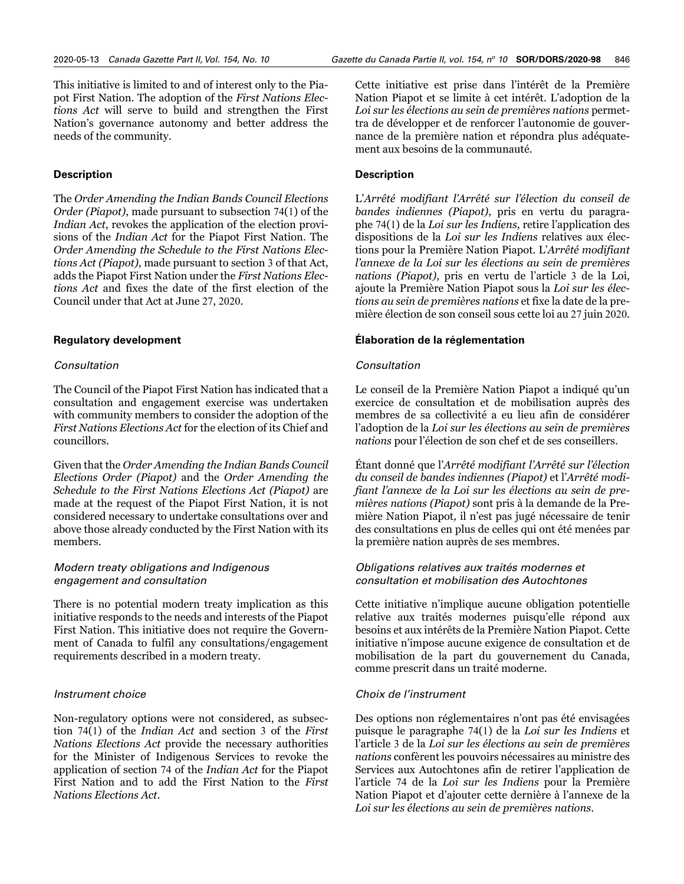This initiative is limited to and of interest only to the Piapot First Nation. The adoption of the *First Nations Elections Act* will serve to build and strengthen the First Nation's governance autonomy and better address the needs of the community.

#### **Description**

The *Order Amending the Indian Bands Council Elections Order (Piapot)*, made pursuant to subsection 74(1) of the *Indian Act*, revokes the application of the election provisions of the *Indian Act* for the Piapot First Nation. The *Order Amending the Schedule to the First Nations Elections Act (Piapot)*, made pursuant to section 3 of that Act, adds the Piapot First Nation under the *First Nations Elections Act* and fixes the date of the first election of the Council under that Act at June 27, 2020.

#### **Regulatory development**

#### *Consultation*

The Council of the Piapot First Nation has indicated that a consultation and engagement exercise was undertaken with community members to consider the adoption of the *First Nations Elections Act* for the election of its Chief and councillors.

Given that the *Order Amending the Indian Bands Council Elections Order (Piapot)* and the *Order Amending the Schedule to the First Nations Elections Act (Piapot)* are made at the request of the Piapot First Nation, it is not considered necessary to undertake consultations over and above those already conducted by the First Nation with its members.

#### *Modern treaty obligations and Indigenous engagement and consultation*

There is no potential modern treaty implication as this initiative responds to the needs and interests of the Piapot First Nation. This initiative does not require the Government of Canada to fulfil any consultations/engagement requirements described in a modern treaty.

#### *Instrument choice*

Non-regulatory options were not considered, as subsection 74(1) of the *Indian Act* and section 3 of the *First Nations Elections Act* provide the necessary authorities for the Minister of Indigenous Services to revoke the application of section 74 of the *Indian Act* for the Piapot First Nation and to add the First Nation to the *First Nations Elections Act*.

Cette initiative est prise dans l'intérêt de la Première Nation Piapot et se limite à cet intérêt. L'adoption de la *Loi sur les élections au sein de premières nations* permettra de développer et de renforcer l'autonomie de gouvernance de la première nation et répondra plus adéquatement aux besoins de la communauté.

#### **Description**

L'*Arrêté modifiant l'Arrêté sur l'élection du conseil de bandes indiennes (Piapot)*, pris en vertu du paragraphe 74(1) de la *Loi sur les Indiens*, retire l'application des dispositions de la *Loi sur les Indiens* relatives aux élections pour la Première Nation Piapot. L'*Arrêté modifiant l'annexe de la Loi sur les élections au sein de premières nations (Piapot)*, pris en vertu de l'article 3 de la Loi, ajoute la Première Nation Piapot sous la *Loi sur les élections au sein de premières nations* et fixe la date de la première élection de son conseil sous cette loi au 27 juin 2020.

#### **Élaboration de la réglementation**

#### *Consultation*

Le conseil de la Première Nation Piapot a indiqué qu'un exercice de consultation et de mobilisation auprès des membres de sa collectivité a eu lieu afin de considérer l'adoption de la *Loi sur les élections au sein de premières nations* pour l'élection de son chef et de ses conseillers.

Étant donné que l'*Arrêté modifiant l'Arrêté sur l'élection du conseil de bandes indiennes (Piapot)* et l'*Arrêté modifiant l'annexe de la Loi sur les élections au sein de premières nations (Piapot)* sont pris à la demande de la Première Nation Piapot*,* il n'est pas jugé nécessaire de tenir des consultations en plus de celles qui ont été menées par la première nation auprès de ses membres.

#### *Obligations relatives aux traités modernes et consultation et mobilisation des Autochtones*

Cette initiative n'implique aucune obligation potentielle relative aux traités modernes puisqu'elle répond aux besoins et aux intérêts de la Première Nation Piapot. Cette initiative n'impose aucune exigence de consultation et de mobilisation de la part du gouvernement du Canada, comme prescrit dans un traité moderne.

#### *Choix de l'instrument*

Des options non réglementaires n'ont pas été envisagées puisque le paragraphe 74(1) de la *Loi sur les Indiens* et l'article 3 de la *Loi sur les élections au sein de premières nations* confèrent les pouvoirs nécessaires au ministre des Services aux Autochtones afin de retirer l'application de l'article 74 de la *Loi sur les Indiens* pour la Première Nation Piapot et d'ajouter cette dernière à l'annexe de la *Loi sur les élections au sein de premières nations*.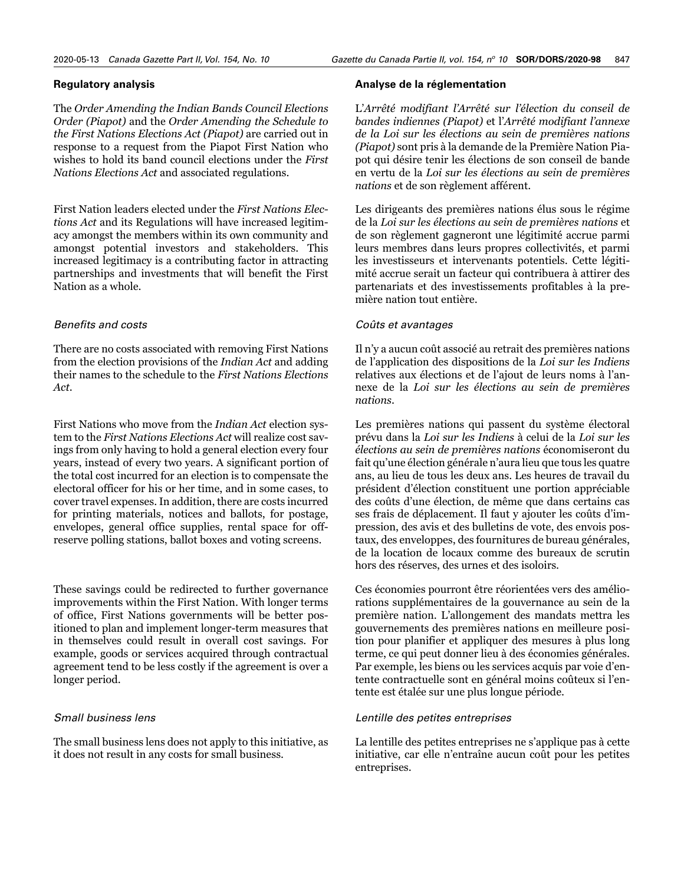#### **Regulatory analysis**

The *Order Amending the Indian Bands Council Elections Order (Piapot)* and the *Order Amending the Schedule to the First Nations Elections Act (Piapot)* are carried out in response to a request from the Piapot First Nation who wishes to hold its band council elections under the *First Nations Elections Act* and associated regulations.

First Nation leaders elected under the *First Nations Elections Act* and its Regulations will have increased legitimacy amongst the members within its own community and amongst potential investors and stakeholders. This increased legitimacy is a contributing factor in attracting partnerships and investments that will benefit the First Nation as a whole.

#### *Benefits and costs*

There are no costs associated with removing First Nations from the election provisions of the *Indian Act* and adding their names to the schedule to the *First Nations Elections Act*.

First Nations who move from the *Indian Act* election system to the *First Nations Elections Act* will realize cost savings from only having to hold a general election every four years, instead of every two years. A significant portion of the total cost incurred for an election is to compensate the electoral officer for his or her time, and in some cases, to cover travel expenses. In addition, there are costs incurred for printing materials, notices and ballots, for postage, envelopes, general office supplies, rental space for offreserve polling stations, ballot boxes and voting screens.

These savings could be redirected to further governance improvements within the First Nation. With longer terms of office, First Nations governments will be better positioned to plan and implement longer-term measures that in themselves could result in overall cost savings. For example, goods or services acquired through contractual agreement tend to be less costly if the agreement is over a longer period.

#### *Small business lens*

The small business lens does not apply to this initiative, as it does not result in any costs for small business.

#### **Analyse de la réglementation**

L'*Arrêté modifiant l'Arrêté sur l'élection du conseil de bandes indiennes (Piapot)* et l'*Arrêté modifiant l'annexe de la Loi sur les élections au sein de premières nations (Piapot)* sont pris à la demande de la Première Nation Piapot qui désire tenir les élections de son conseil de bande en vertu de la *Loi sur les élections au sein de premières nations* et de son règlement afférent.

Les dirigeants des premières nations élus sous le régime de la *Loi sur les élections au sein de premières nations* et de son règlement gagneront une légitimité accrue parmi leurs membres dans leurs propres collectivités, et parmi les investisseurs et intervenants potentiels. Cette légitimité accrue serait un facteur qui contribuera à attirer des partenariats et des investissements profitables à la première nation tout entière.

#### *Coûts et avantages*

Il n'y a aucun coût associé au retrait des premières nations de l'application des dispositions de la *Loi sur les Indiens* relatives aux élections et de l'ajout de leurs noms à l'annexe de la *Loi sur les élections au sein de premières nations*.

Les premières nations qui passent du système électoral prévu dans la *Loi sur les Indiens* à celui de la *Loi sur les élections au sein de premières nations* économiseront du fait qu'une élection générale n'aura lieu que tous les quatre ans, au lieu de tous les deux ans. Les heures de travail du président d'élection constituent une portion appréciable des coûts d'une élection, de même que dans certains cas ses frais de déplacement. Il faut y ajouter les coûts d'impression, des avis et des bulletins de vote, des envois postaux, des enveloppes, des fournitures de bureau générales, de la location de locaux comme des bureaux de scrutin hors des réserves, des urnes et des isoloirs.

Ces économies pourront être réorientées vers des améliorations supplémentaires de la gouvernance au sein de la première nation. L'allongement des mandats mettra les gouvernements des premières nations en meilleure position pour planifier et appliquer des mesures à plus long terme, ce qui peut donner lieu à des économies générales. Par exemple, les biens ou les services acquis par voie d'entente contractuelle sont en général moins coûteux si l'entente est étalée sur une plus longue période.

#### *Lentille des petites entreprises*

La lentille des petites entreprises ne s'applique pas à cette initiative, car elle n'entraîne aucun coût pour les petites entreprises.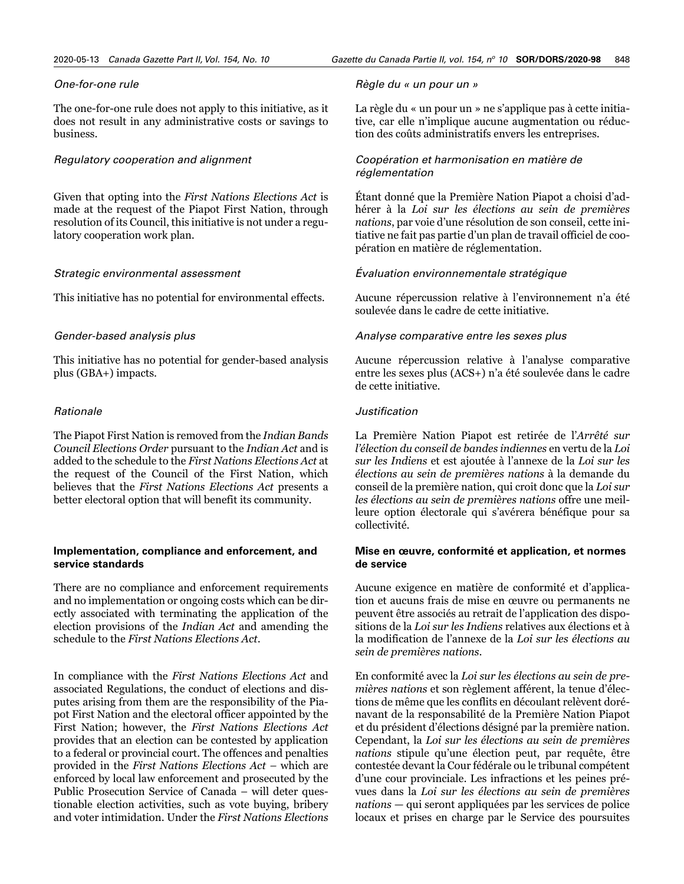#### *One-for-one rule*

The one-for-one rule does not apply to this initiative, as it does not result in any administrative costs or savings to business.

#### *Regulatory cooperation and alignment*

Given that opting into the *First Nations Elections Act* is made at the request of the Piapot First Nation, through resolution of its Council, this initiative is not under a regulatory cooperation work plan.

#### *Strategic environmental assessment*

This initiative has no potential for environmental effects.

#### *Gender-based analysis plus*

This initiative has no potential for gender-based analysis plus (GBA+) impacts.

#### *Rationale*

The Piapot First Nation is removed from the *Indian Bands Council Elections Order* pursuant to the *Indian Act* and is added to the schedule to the *First Nations Elections Act* at the request of the Council of the First Nation, which believes that the *First Nations Elections Act* presents a better electoral option that will benefit its community.

#### **Implementation, compliance and enforcement, and service standards**

There are no compliance and enforcement requirements and no implementation or ongoing costs which can be directly associated with terminating the application of the election provisions of the *Indian Act* and amending the schedule to the *First Nations Elections Act*.

In compliance with the *First Nations Elections Act* and associated Regulations, the conduct of elections and disputes arising from them are the responsibility of the Piapot First Nation and the electoral officer appointed by the First Nation; however, the *First Nations Elections Act* provides that an election can be contested by application to a federal or provincial court. The offences and penalties provided in the *First Nations Elections Act –* which are enforced by local law enforcement and prosecuted by the Public Prosecution Service of Canada – will deter questionable election activities, such as vote buying, bribery and voter intimidation. Under the *First Nations Elections* 

#### *Règle du « un pour un »*

La règle du « un pour un » ne s'applique pas à cette initiative, car elle n'implique aucune augmentation ou réduction des coûts administratifs envers les entreprises.

#### *Coopération et harmonisation en matière de réglementation*

Étant donné que la Première Nation Piapot a choisi d'adhérer à la *Loi sur les élections au sein de premières nations*, par voie d'une résolution de son conseil, cette initiative ne fait pas partie d'un plan de travail officiel de coopération en matière de réglementation.

#### *Évaluation environnementale stratégique*

Aucune répercussion relative à l'environnement n'a été soulevée dans le cadre de cette initiative.

#### *Analyse comparative entre les sexes plus*

Aucune répercussion relative à l'analyse comparative entre les sexes plus (ACS+) n'a été soulevée dans le cadre de cette initiative.

#### *Justification*

La Première Nation Piapot est retirée de l'*Arrêté sur l'élection du conseil de bandes indiennes* en vertu de la *Loi sur les Indiens* et est ajoutée à l'annexe de la *Loi sur les élections au sein de premières nations* à la demande du conseil de la première nation, qui croit donc que la *Loi sur les élections au sein de premières nations* offre une meilleure option électorale qui s'avérera bénéfique pour sa collectivité.

#### **Mise en œuvre, conformité et application, et normes de service**

Aucune exigence en matière de conformité et d'application et aucuns frais de mise en œuvre ou permanents ne peuvent être associés au retrait de l'application des dispositions de la *Loi sur les Indiens* relatives aux élections et à la modification de l'annexe de la *Loi sur les élections au sein de premières nations*.

En conformité avec la *Loi sur les élections au sein de premières nations* et son règlement afférent, la tenue d'élections de même que les conflits en découlant relèvent dorénavant de la responsabilité de la Première Nation Piapot et du président d'élections désigné par la première nation. Cependant, la *Loi sur les élections au sein de premières nations* stipule qu'une élection peut, par requête, être contestée devant la Cour fédérale ou le tribunal compétent d'une cour provinciale. Les infractions et les peines prévues dans la *Loi sur les élections au sein de premières nations* — qui seront appliquées par les services de police locaux et prises en charge par le Service des poursuites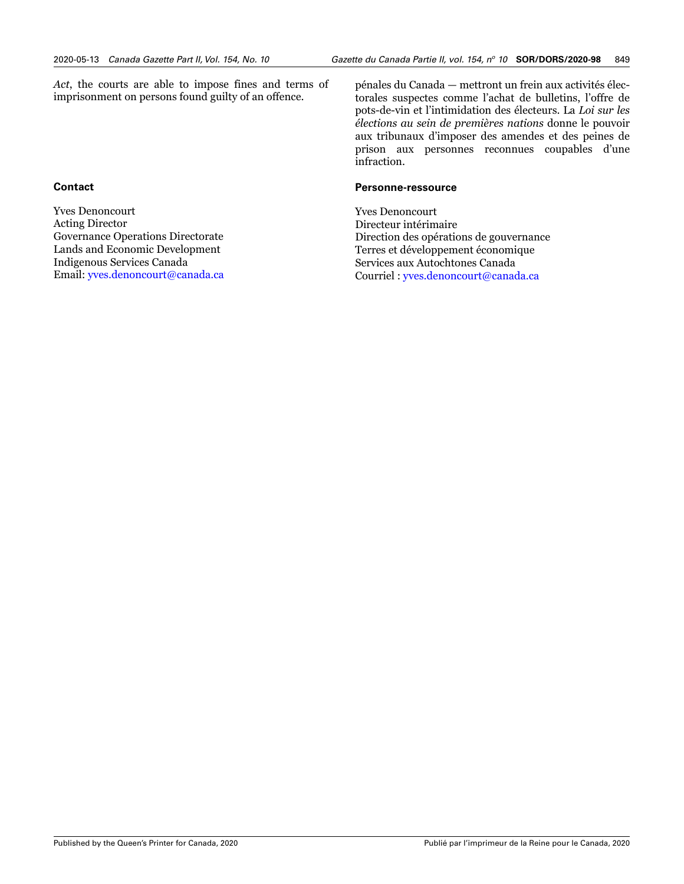*Act*, the courts are able to impose fines and terms of imprisonment on persons found guilty of an offence.

### **Contact**

Yves Denoncourt Acting Director Governance Operations Directorate Lands and Economic Development Indigenous Services Canada Email: [yves.denoncourt@canada.ca](mailto:yves.denoncourt%40canada.ca?subject=) pénales du Canada — mettront un frein aux activités électorales suspectes comme l'achat de bulletins, l'offre de pots-de-vin et l'intimidation des électeurs. La *Loi sur les élections au sein de premières nations* donne le pouvoir aux tribunaux d'imposer des amendes et des peines de prison aux personnes reconnues coupables d'une infraction.

#### **Personne-ressource**

Yves Denoncourt Directeur intérimaire Direction des opérations de gouvernance Terres et développement économique Services aux Autochtones Canada Courriel : [yves.denoncourt@canada.ca](mailto:yves.denoncourt%40canada.ca?subject=)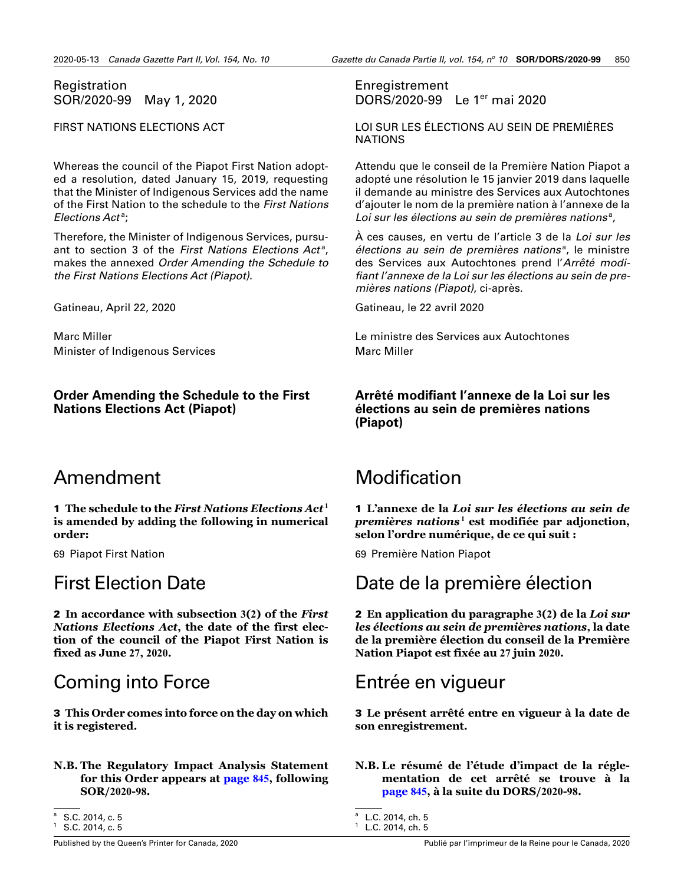### <span id="page-25-0"></span>Registration SOR/2020-99 May 1, 2020

FIRST NATIONS ELECTIONS ACT

Whereas the council of the Piapot First Nation adopted a resolution, dated January 15, 2019, requesting that the Minister of Indigenous Services add the name of the First Nation to the schedule to the *First Nations*  Elections Act<sup>a</sup>;

Therefore, the Minister of Indigenous Services, pursuant to section 3 of the First Nations Elections Act<sup>a</sup>, makes the annexed *Order Amending the Schedule to the First Nations Elections Act (Piapot)*.

Gatineau, April 22, 2020

Marc Miller Minister of Indigenous Services

### **Order Amending the Schedule to the First Nations Elections Act (Piapot)**

# Amendment

1 The schedule to the *First Nations Elections Act*<sup>1</sup> **is amended by adding the following in numerical order:**

69 Piapot First Nation

# First Election Date

2 **In accordance with subsection 3(2) of the** *First Nations Elections Act***, the date of the first election of the council of the Piapot First Nation is fixed as June 27, 2020.**

# Coming into Force

3 **This Order comes into force on the day on which it is registered.**

**N.B. The Regulatory Impact Analysis Statement for this Order appears at [page](#page-20-0) 845, following SOR/2020-98.**

S.C. 2014, c. 5

Enregistrement DORS/2020-99 Le 1er mai 2020

LOI SUR LES ÉLECTIONS AU SEIN DE PREMIÈRES NATIONS

Attendu que le conseil de la Première Nation Piapot a adopté une résolution le 15 janvier 2019 dans laquelle il demande au ministre des Services aux Autochtones d'ajouter le nom de la première nation à l'annexe de la Loi sur les élections au sein de premières nations<sup>a</sup>,

À ces causes, en vertu de l'article 3 de la *Loi sur les*  élections au sein de premières nations<sup>a</sup>, le ministre des Services aux Autochtones prend l'*Arrêté modifiant l'annexe de la Loi sur les élections au sein de premières nations (Piapot)*, ci-après.

Gatineau, le 22 avril 2020

Le ministre des Services aux Autochtones Marc Miller

### **Arrêté modifiant l'annexe de la Loi sur les élections au sein de premières nations (Piapot)**

# Modification

1 **L'annexe de la** *Loi sur les élections au sein de*  premières nations<sup>1</sup> est modifiée par adjonction, **selon l'ordre numérique, de ce qui suit :**

69 Première Nation Piapot

Date de la première élection

2 **En application du paragraphe 3(2) de la** *Loi sur les élections au sein de premières nations***, la date de la première élection du conseil de la Première Nation Piapot est fixée au 27 juin 2020.**

# Entrée en vigueur

3 **Le présent arrêté entre en vigueur à la date de son enregistrement.**

#### **N.B. Le résumé de l'étude d'impact de la réglementation de cet arrêté se trouve à la [page](#page-20-0) 845, à la suite du DORS/2020-98.**

S.C. 2014, c. 5

<sup>a</sup> L.C. 2014, ch. 5

 $1$  L.C. 2014, ch. 5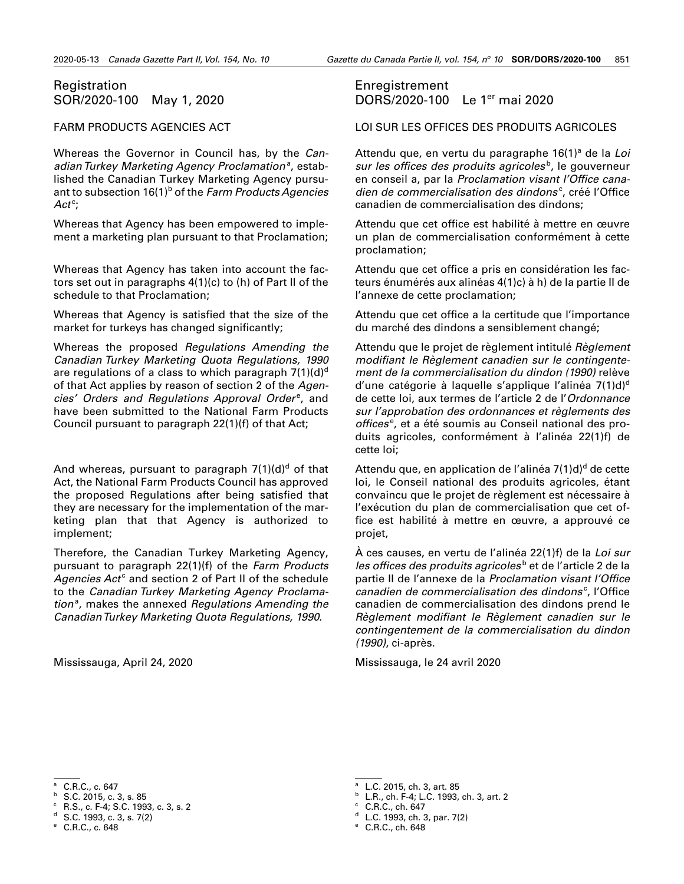### <span id="page-26-0"></span>Registration SOR/2020-100 May 1, 2020

#### FARM PRODUCTS AGENCIES ACT

Whereas the Governor in Council has, by the *Can*adian Turkey Marketing Agency Proclamation<sup>a</sup>, established the Canadian Turkey Marketing Agency pursuant to subsection 16(1)<sup>b</sup> of the *Farm Products Agencies* Act<sup>c</sup>;

Whereas that Agency has been empowered to implement a marketing plan pursuant to that Proclamation;

Whereas that Agency has taken into account the factors set out in paragraphs 4(1)(c) to (h) of Part II of the schedule to that Proclamation;

Whereas that Agency is satisfied that the size of the market for turkeys has changed significantly;

Whereas the proposed *Regulations Amending the Canadian Turkey Marketing Quota Regulations, 1990* are regulations of a class to which paragraph  $7(1)(d)^d$ of that Act applies by reason of section 2 of the *Agen*cies' Orders and Regulations Approval Order<sup>e</sup>, and have been submitted to the National Farm Products Council pursuant to paragraph 22(1)(f) of that Act;

And whereas, pursuant to paragraph 7(1)(d)<sup>d</sup> of that Act, the National Farm Products Council has approved the proposed Regulations after being satisfied that they are necessary for the implementation of the marketing plan that that Agency is authorized to implement;

Therefore, the Canadian Turkey Marketing Agency, pursuant to paragraph 22(1)(f) of the *Farm Products*  Agencies Act<sup>c</sup> and section 2 of Part II of the schedule to the *Canadian Turkey Marketing Agency Proclama*tion<sup>a</sup>, makes the annexed Regulations Amending the *Canadian Turkey Marketing Quota Regulations, 1990*.

Mississauga, April 24, 2020

### Enregistrement DORS/2020-100 Le 1er mai 2020

LOI SUR LES OFFICES DES PRODUITS AGRICOLES

Attendu que, en vertu du paragraphe 16(1)<sup>a</sup> de la Loi sur les offices des produits agricoles<sup>b</sup>, le gouverneur en conseil a, par la *Proclamation visant l'Office cana*dien de commercialisation des dindons<sup>c</sup>, créé l'Office canadien de commercialisation des dindons;

Attendu que cet office est habilité à mettre en œuvre un plan de commercialisation conformément à cette proclamation;

Attendu que cet office a pris en considération les facteurs énumérés aux alinéas 4(1)c) à h) de la partie II de l'annexe de cette proclamation;

Attendu que cet office a la certitude que l'importance du marché des dindons a sensiblement changé;

Attendu que le projet de règlement intitulé *Règlement modifiant le Règlement canadien sur le contingentement de la commercialisation du dindon (1990)* relève d'une catégorie à laquelle s'applique l'alinéa  $7(1)d$ <sup>d</sup> de cette loi, aux termes de l'article 2 de l'*Ordonnance sur l'approbation des ordonnances et règlements des*  offices<sup>e</sup>, et a été soumis au Conseil national des produits agricoles, conformément à l'alinéa 22(1)f) de cette loi;

Attendu que, en application de l'alinéa 7(1)d)<sup>d</sup> de cette loi, le Conseil national des produits agricoles, étant convaincu que le projet de règlement est nécessaire à l'exécution du plan de commercialisation que cet office est habilité à mettre en œuvre, a approuvé ce projet,

À ces causes, en vertu de l'alinéa 22(1)f) de la *Loi sur*  les offices des produits agricoles<sup>b</sup> et de l'article 2 de la partie II de l'annexe de la *Proclamation visant l'Office*  canadien de commercialisation des dindons<sup>c</sup>, l'Office canadien de commercialisation des dindons prend le *Règlement modifiant le Règlement canadien sur le contingentement de la commercialisation du dindon (1990)*, ci-après.

Mississauga, le 24 avril 2020

<sup>b</sup> S.C. 2015, c. 3, s. 85

- <sup>b</sup> L.R., ch. F-4; L.C. 1993, ch. 3, art. 2
- $C. R.C., ch. 647$
- <sup>d</sup> L.C. 1993, ch. 3, par. 7(2)

<sup>&</sup>lt;sup>a</sup> C.R.C., c. 647

 $C$  R.S., c. F-4; S.C. 1993, c. 3, s. 2

 $d$  S.C. 1993, c. 3, s. 7(2)

<sup>e</sup> C.R.C., c. 648

<sup>a</sup> L.C. 2015, ch. 3, art. 85

<sup>e</sup> C.R.C., ch. 648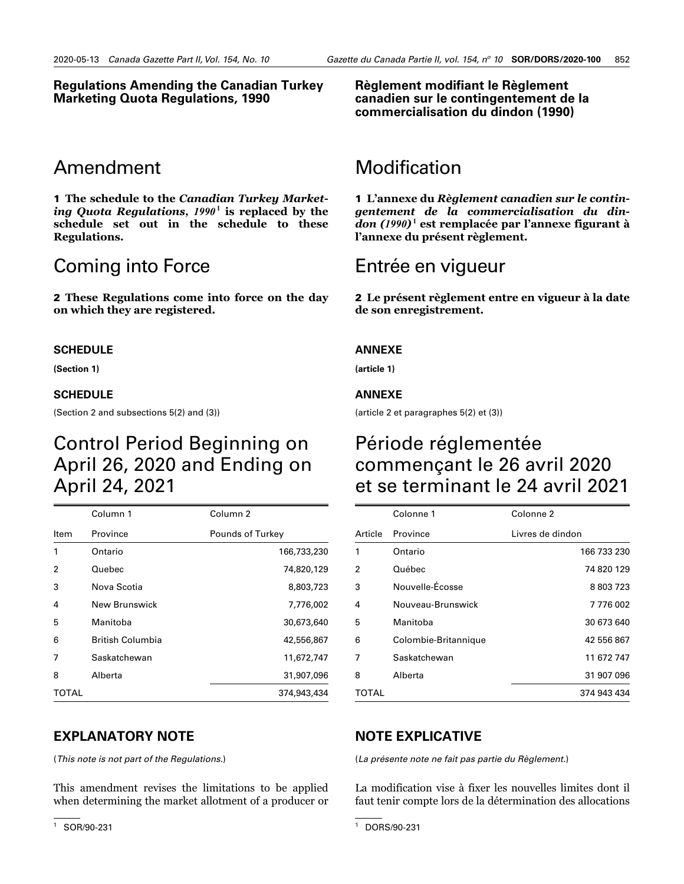#### **Regulations Amending the Canadian Turkey Marketing Quota Regulations, 1990**

# Amendment

1 **The schedule to the** *Canadian Turkey Market*ing Quota Regulations,  $1990^1$  is replaced by the **schedule set out in the schedule to these Regulations.**

# Coming into Force

2 **These Regulations come into force on the day on which they are registered.**

#### **SCHEDULE**

**(Section 1)**

#### **SCHEDULE**

(Section 2 and subsections 5(2) and (3))

# Control Period Beginning on April 26, 2020 and Ending on April 24, 2021

|       | Column 1         | Column <sub>2</sub> |
|-------|------------------|---------------------|
| Item  | Province         | Pounds of Turkey    |
| 1     | Ontario          | 166,733,230         |
| 2     | Quebec           | 74,820,129          |
| 3     | Nova Scotia      | 8,803,723           |
| 4     | New Brunswick    | 7,776,002           |
| 5     | Manitoba         | 30,673,640          |
| 6     | British Columbia | 42,556,867          |
| 7     | Saskatchewan     | 11,672,747          |
| 8     | Alberta          | 31,907,096          |
| TOTAL |                  | 374,943,434         |

# **EXPLANATORY NOTE**

(*This note is not part of the Regulations.*)

This amendment revises the limitations to be applied when determining the market allotment of a producer or **Règlement modifiant le Règlement canadien sur le contingentement de la commercialisation du dindon (1990)**

# Modification

1 **L'annexe du** *Règlement canadien sur le contingentement de la commercialisation du dindon (1990)* <sup>6</sup>**<sup>1</sup> est remplacée par l'annexe figurant à l'annexe du présent règlement.**

# Entrée en vigueur

2 **Le présent règlement entre en vigueur à la date de son enregistrement.**

#### **ANNEXE**

**(article 1)**

#### **ANNEXE**

(article 2 et paragraphes 5(2) et (3))

# Période réglementée commençant le 26 avril 2020 et se terminant le 24 avril 2021

|         | Colonne 1            | Colonne <sub>2</sub> |
|---------|----------------------|----------------------|
| Article | Province             | Livres de dindon     |
| 1       | Ontario              | 166 733 230          |
| 2       | Québec               | 74 820 129           |
| 3       | Nouvelle-Écosse      | 8 803 723            |
| 4       | Nouveau-Brunswick    | 7776002              |
| 5       | Manitoba             | 30 673 640           |
| 6       | Colombie-Britannique | 42 556 867           |
| 7       | Saskatchewan         | 11 672 747           |
| 8       | Alberta              | 31 907 096           |
| TOTAL   |                      | 374 943 434          |

### **NOTE EXPLICATIVE**

(*La présente note ne fait pas partie du Règlement.*)

La modification vise à fixer les nouvelles limites dont il faut tenir compte lors de la détermination des allocations

<sup>1</sup> SOR/90-231

<sup>1</sup> DORS/90-231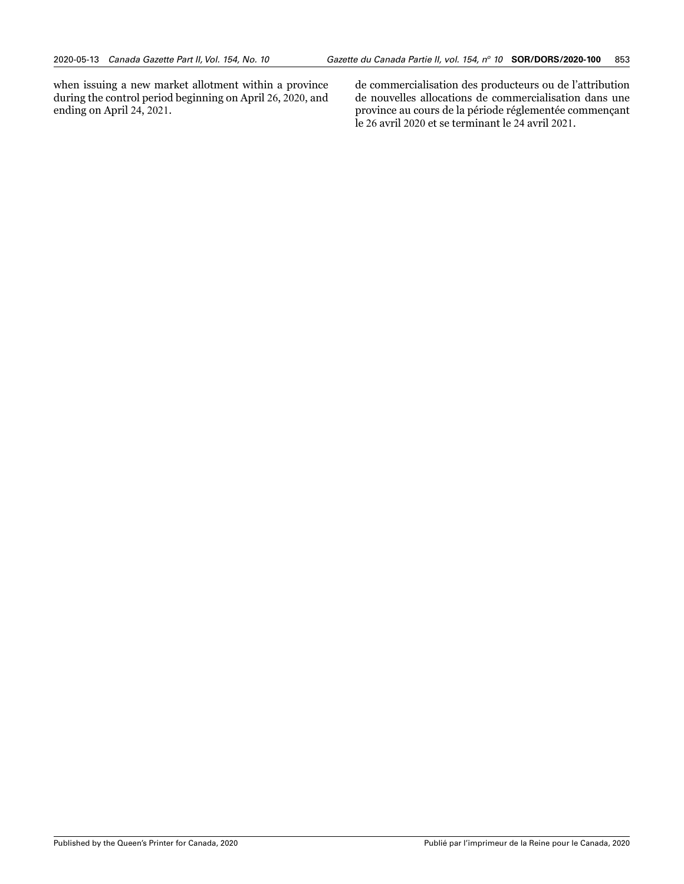when issuing a new market allotment within a province during the control period beginning on April 26, 2020, and ending on April 24, 2021.

de commercialisation des producteurs ou de l'attribution de nouvelles allocations de commercialisation dans une province au cours de la période réglementée commençant le 26 avril 2020 et se terminant le 24 avril 2021.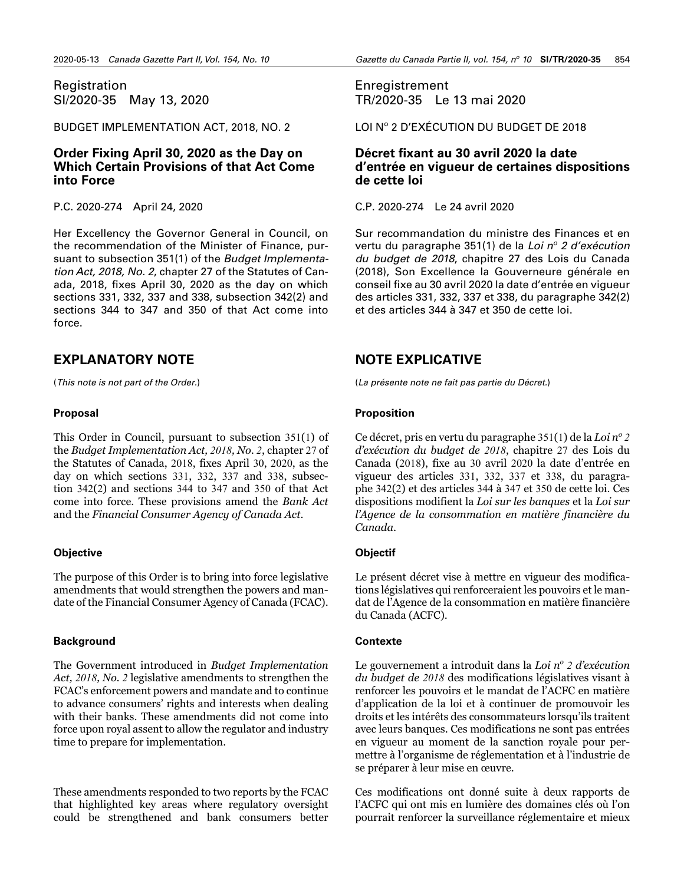<span id="page-29-0"></span>Registration SI/2020-35 May 13, 2020

BUDGET IMPLEMENTATION ACT, 2018, NO. 2

### **Order Fixing April 30, 2020 as the Day on Which Certain Provisions of that Act Come into Force**

P.C. 2020-274 April 24, 2020

Her Excellency the Governor General in Council, on the recommendation of the Minister of Finance, pursuant to subsection 351(1) of the *Budget Implementation Act, 2018, No. 2*, chapter 27 of the Statutes of Canada, 2018, fixes April 30, 2020 as the day on which sections 331, 332, 337 and 338, subsection 342(2) and sections 344 to 347 and 350 of that Act come into force.

# **EXPLANATORY NOTE**

(*This note is not part of the Order.*)

#### **Proposal**

This Order in Council, pursuant to subsection 351(1) of the *Budget Implementation Act, 2018, No. 2*, chapter 27 of the Statutes of Canada, 2018, fixes April 30, 2020, as the day on which sections 331, 332, 337 and 338, subsection 342(2) and sections 344 to 347 and 350 of that Act come into force. These provisions amend the *Bank Act* and the *Financial Consumer Agency of Canada Act*.

#### **Objective**

The purpose of this Order is to bring into force legislative amendments that would strengthen the powers and mandate of the Financial Consumer Agency of Canada (FCAC).

#### **Background**

The Government introduced in *Budget Implementation Act, 2018, No. 2* legislative amendments to strengthen the FCAC's enforcement powers and mandate and to continue to advance consumers' rights and interests when dealing with their banks. These amendments did not come into force upon royal assent to allow the regulator and industry time to prepare for implementation.

These amendments responded to two reports by the FCAC that highlighted key areas where regulatory oversight could be strengthened and bank consumers better

Enregistrement TR/2020-35 Le 13 mai 2020

LOI Nº 2 D'EXÉCUTION DU BUDGET DE 2018

### **Décret fixant au 30 avril 2020 la date d'entrée en vigueur de certaines dispositions de cette loi**

C.P. 2020-274 Le 24 avril 2020

Sur recommandation du ministre des Finances et en vertu du paragraphe 351(1) de la *Loi n<sup>o</sup> 2 d'exécution du budget de 2018*, chapitre 27 des Lois du Canada (2018), Son Excellence la Gouverneure générale en conseil fixe au 30 avril 2020 la date d'entrée en vigueur des articles 331, 332, 337 et 338, du paragraphe 342(2) et des articles 344 à 347 et 350 de cette loi.

# **NOTE EXPLICATIVE**

(*La présente note ne fait pas partie du Décret.*)

### **Proposition**

Ce décret, pris en vertu du paragraphe 351(1) de la *Loi n<sup>o</sup> 2 d'exécution du budget de 2018*, chapitre 27 des Lois du Canada (2018), fixe au 30 avril 2020 la date d'entrée en vigueur des articles 331, 332, 337 et 338, du paragraphe 342(2) et des articles 344 à 347 et 350 de cette loi. Ces dispositions modifient la *Loi sur les banques* et la *Loi sur l'Agence de la consommation en matière financière du Canada*.

### **Objectif**

Le présent décret vise à mettre en vigueur des modifications législatives qui renforceraient les pouvoirs et le mandat de l'Agence de la consommation en matière financière du Canada (ACFC).

#### **Contexte**

Le gouvernement a introduit dans la *Loi n<sup>o</sup> 2 d'exécution du budget de 2018* des modifications législatives visant à renforcer les pouvoirs et le mandat de l'ACFC en matière d'application de la loi et à continuer de promouvoir les droits et les intérêts des consommateurs lorsqu'ils traitent avec leurs banques. Ces modifications ne sont pas entrées en vigueur au moment de la sanction royale pour permettre à l'organisme de réglementation et à l'industrie de se préparer à leur mise en œuvre.

Ces modifications ont donné suite à deux rapports de l'ACFC qui ont mis en lumière des domaines clés où l'on pourrait renforcer la surveillance réglementaire et mieux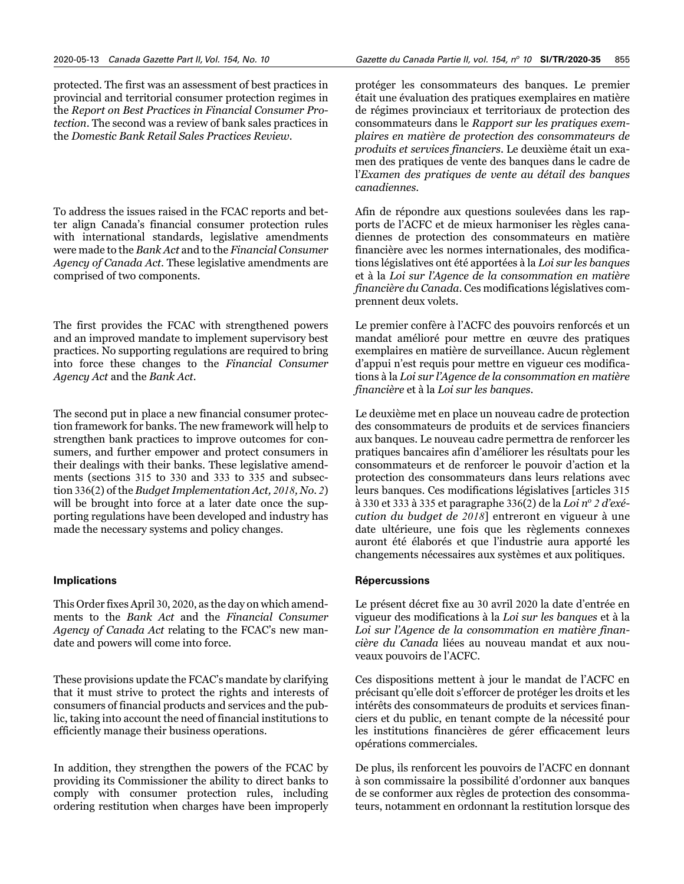protected. The first was an assessment of best practices in provincial and territorial consumer protection regimes in the *Report on Best Practices in Financial Consumer Protection*. The second was a review of bank sales practices in the *Domestic Bank Retail Sales Practices Review.*

To address the issues raised in the FCAC reports and better align Canada's financial consumer protection rules with international standards, legislative amendments were made to the *Bank Act* and to the *Financial Consumer Agency of Canada Act*. These legislative amendments are comprised of two components*.*

The first provides the FCAC with strengthened powers and an improved mandate to implement supervisory best practices. No supporting regulations are required to bring into force these changes to the *Financial Consumer Agency Act* and the *Bank Act.* 

The second put in place a new financial consumer protection framework for banks. The new framework will help to strengthen bank practices to improve outcomes for consumers, and further empower and protect consumers in their dealings with their banks. These legislative amendments (sections 315 to 330 and 333 to 335 and subsection 336(2) of the *Budget Implementation Act, 2018, No. 2*) will be brought into force at a later date once the supporting regulations have been developed and industry has made the necessary systems and policy changes.

#### **Implications**

This Order fixes April 30, 2020, as the day on which amendments to the *Bank Act* and the *Financial Consumer Agency of Canada Act* relating to the FCAC's new mandate and powers will come into force.

These provisions update the FCAC's mandate by clarifying that it must strive to protect the rights and interests of consumers of financial products and services and the public, taking into account the need of financial institutions to efficiently manage their business operations.

In addition, they strengthen the powers of the FCAC by providing its Commissioner the ability to direct banks to comply with consumer protection rules, including ordering restitution when charges have been improperly

protéger les consommateurs des banques. Le premier était une évaluation des pratiques exemplaires en matière de régimes provinciaux et territoriaux de protection des consommateurs dans le *Rapport sur les pratiques exemplaires en matière de protection des consommateurs de produits et services financiers*. Le deuxième était un examen des pratiques de vente des banques dans le cadre de l'*Examen des pratiques de vente au détail des banques canadiennes*.

Afin de répondre aux questions soulevées dans les rapports de l'ACFC et de mieux harmoniser les règles canadiennes de protection des consommateurs en matière financière avec les normes internationales, des modifications législatives ont été apportées à la *Loi sur les banques* et à la *Loi sur l'Agence de la consommation en matière financière du Canada*. Ces modifications législatives comprennent deux volets.

Le premier confère à l'ACFC des pouvoirs renforcés et un mandat amélioré pour mettre en œuvre des pratiques exemplaires en matière de surveillance. Aucun règlement d'appui n'est requis pour mettre en vigueur ces modifications à la *Loi sur l'Agence de la consommation en matière financière* et à la *Loi sur les banques*.

Le deuxième met en place un nouveau cadre de protection des consommateurs de produits et de services financiers aux banques. Le nouveau cadre permettra de renforcer les pratiques bancaires afin d'améliorer les résultats pour les consommateurs et de renforcer le pouvoir d'action et la protection des consommateurs dans leurs relations avec leurs banques. Ces modifications législatives [articles 315 à 330 et 333 à 335 et paragraphe 336(2) de la *Loi n<sup>o</sup> 2 d'exécution du budget de 2018*] entreront en vigueur à une date ultérieure, une fois que les règlements connexes auront été élaborés et que l'industrie aura apporté les changements nécessaires aux systèmes et aux politiques.

#### **Répercussions**

Le présent décret fixe au 30 avril 2020 la date d'entrée en vigueur des modifications à la *Loi sur les banques* et à la *Loi sur l'Agence de la consommation en matière financière du Canada* liées au nouveau mandat et aux nouveaux pouvoirs de l'ACFC.

Ces dispositions mettent à jour le mandat de l'ACFC en précisant qu'elle doit s'efforcer de protéger les droits et les intérêts des consommateurs de produits et services financiers et du public, en tenant compte de la nécessité pour les institutions financières de gérer efficacement leurs opérations commerciales.

De plus, ils renforcent les pouvoirs de l'ACFC en donnant à son commissaire la possibilité d'ordonner aux banques de se conformer aux règles de protection des consommateurs, notamment en ordonnant la restitution lorsque des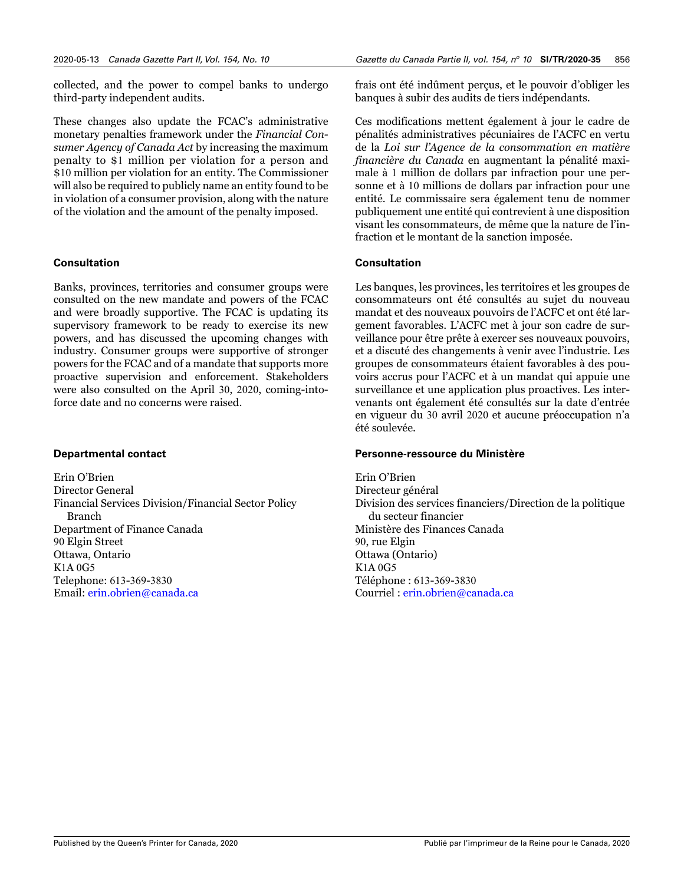collected, and the power to compel banks to undergo third-party independent audits.

These changes also update the FCAC's administrative monetary penalties framework under the *Financial Consumer Agency of Canada Act* by increasing the maximum penalty to \$1 million per violation for a person and \$10 million per violation for an entity. The Commissioner will also be required to publicly name an entity found to be in violation of a consumer provision, along with the nature of the violation and the amount of the penalty imposed.

#### **Consultation**

Banks, provinces, territories and consumer groups were consulted on the new mandate and powers of the FCAC and were broadly supportive. The FCAC is updating its supervisory framework to be ready to exercise its new powers, and has discussed the upcoming changes with industry. Consumer groups were supportive of stronger powers for the FCAC and of a mandate that supports more proactive supervision and enforcement. Stakeholders were also consulted on the April 30, 2020, coming-intoforce date and no concerns were raised.

#### **Departmental contact**

Erin O'Brien Director General Financial Services Division/Financial Sector Policy Branch Department of Finance Canada 90 Elgin Street Ottawa, Ontario K1A 0G5 Telephone: 613-369-3830 Email: [erin.obrien@canada.ca](mailto:erin.obrien%40canada.ca?subject=)

frais ont été indûment perçus, et le pouvoir d'obliger les banques à subir des audits de tiers indépendants.

Ces modifications mettent également à jour le cadre de pénalités administratives pécuniaires de l'ACFC en vertu de la *Loi sur l'Agence de la consommation en matière financière du Canada* en augmentant la pénalité maximale à 1 million de dollars par infraction pour une personne et à 10 millions de dollars par infraction pour une entité. Le commissaire sera également tenu de nommer publiquement une entité qui contrevient à une disposition visant les consommateurs, de même que la nature de l'infraction et le montant de la sanction imposée.

#### **Consultation**

Les banques, les provinces, les territoires et les groupes de consommateurs ont été consultés au sujet du nouveau mandat et des nouveaux pouvoirs de l'ACFC et ont été largement favorables. L'ACFC met à jour son cadre de surveillance pour être prête à exercer ses nouveaux pouvoirs, et a discuté des changements à venir avec l'industrie. Les groupes de consommateurs étaient favorables à des pouvoirs accrus pour l'ACFC et à un mandat qui appuie une surveillance et une application plus proactives. Les intervenants ont également été consultés sur la date d'entrée en vigueur du 30 avril 2020 et aucune préoccupation n'a été soulevée.

#### **Personne-ressource du Ministère**

Erin O'Brien Directeur général Division des services financiers/Direction de la politique du secteur financier Ministère des Finances Canada 90, rue Elgin Ottawa (Ontario) K1A 0G5 Téléphone : 613-369-3830 Courriel : [erin.obrien@canada.ca](mailto:erin.obrien%40canada.ca?subject=)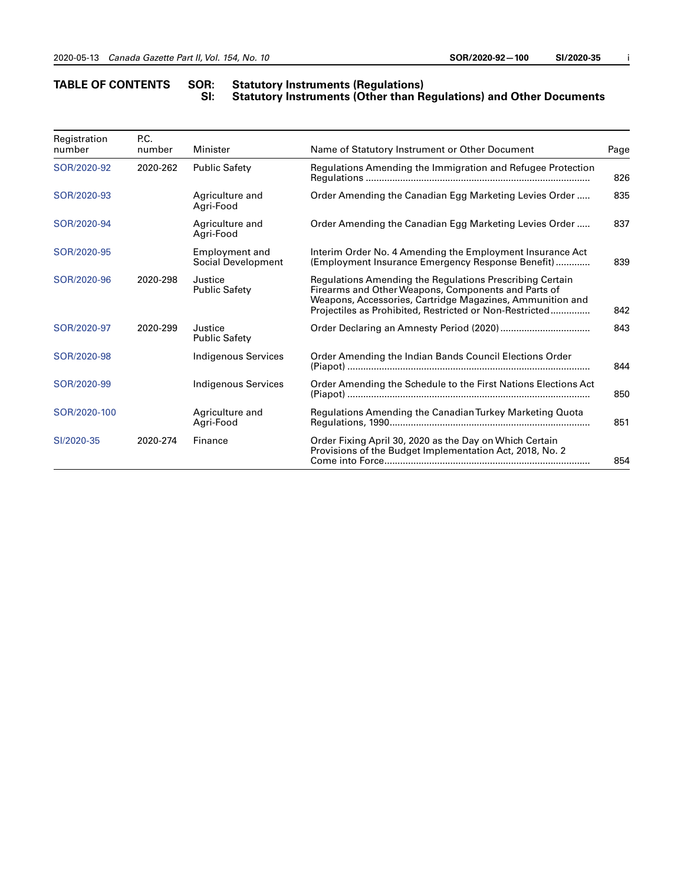#### **TABLE OF CONTENTS SOR: Statutory Instruments (Regulations) SI: Statutory Instruments (Other than Regulations) and Other Documents**

| Registration<br>number | P.C.<br>number | Minister                             | Name of Statutory Instrument or Other Document                                                                                                                                                                                          |     |
|------------------------|----------------|--------------------------------------|-----------------------------------------------------------------------------------------------------------------------------------------------------------------------------------------------------------------------------------------|-----|
| SOR/2020-92            | 2020-262       | <b>Public Safety</b>                 | Regulations Amending the Immigration and Refugee Protection                                                                                                                                                                             |     |
| SOR/2020-93            |                | Agriculture and<br>Agri-Food         | Order Amending the Canadian Egg Marketing Levies Order                                                                                                                                                                                  | 835 |
| SOR/2020-94            |                | Agriculture and<br>Agri-Food         | Order Amending the Canadian Egg Marketing Levies Order                                                                                                                                                                                  | 837 |
| SOR/2020-95            |                | Employment and<br>Social Development | Interim Order No. 4 Amending the Employment Insurance Act<br>(Employment Insurance Emergency Response Benefit)                                                                                                                          |     |
| SOR/2020-96            | 2020-298       | Justice<br><b>Public Safety</b>      | Regulations Amending the Regulations Prescribing Certain<br>Firearms and Other Weapons, Components and Parts of<br>Weapons, Accessories, Cartridge Magazines, Ammunition and<br>Projectiles as Prohibited, Restricted or Non-Restricted |     |
| SOR/2020-97            | 2020-299       | Justice<br><b>Public Safety</b>      |                                                                                                                                                                                                                                         |     |
| SOR/2020-98            |                | <b>Indigenous Services</b>           | Order Amending the Indian Bands Council Elections Order                                                                                                                                                                                 |     |
| SOR/2020-99            |                | <b>Indigenous Services</b>           | Order Amending the Schedule to the First Nations Elections Act                                                                                                                                                                          |     |
| SOR/2020-100           |                | Agriculture and<br>Agri-Food         | Regulations Amending the Canadian Turkey Marketing Quota                                                                                                                                                                                |     |
| SI/2020-35             | 2020-274       | Finance                              | Order Fixing April 30, 2020 as the Day on Which Certain<br>Provisions of the Budget Implementation Act, 2018, No. 2                                                                                                                     |     |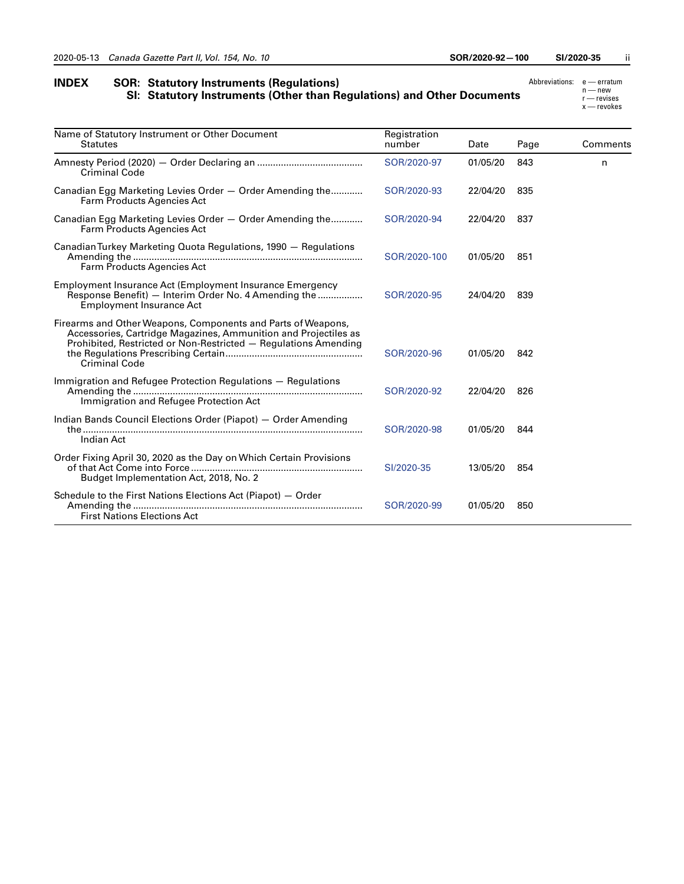| <b>INDEX</b> | <b>SOR: Statutory Instruments (Regulations)</b>                        | Abbreviations: e - erratum |                            |
|--------------|------------------------------------------------------------------------|----------------------------|----------------------------|
|              | SI: Statutory Instruments (Other than Regulations) and Other Documents |                            | $n$ – new<br>$r$ — revises |
|              |                                                                        |                            | $x$ — revokes              |

| Name of Statutory Instrument or Other Document<br><b>Statutes</b>                                                                                                                                                          | Registration<br>number | Date     | Page | Comments |
|----------------------------------------------------------------------------------------------------------------------------------------------------------------------------------------------------------------------------|------------------------|----------|------|----------|
| <b>Criminal Code</b>                                                                                                                                                                                                       | SOR/2020-97            | 01/05/20 | 843  | n        |
| Canadian Egg Marketing Levies Order - Order Amending the<br>Farm Products Agencies Act                                                                                                                                     | SOR/2020-93            | 22/04/20 | 835  |          |
| Canadian Egg Marketing Levies Order - Order Amending the<br>Farm Products Agencies Act                                                                                                                                     | SOR/2020-94            | 22/04/20 | 837  |          |
| Canadian Turkey Marketing Quota Regulations, 1990 – Regulations<br>Farm Products Agencies Act                                                                                                                              | SOR/2020-100           | 01/05/20 | 851  |          |
| Employment Insurance Act (Employment Insurance Emergency<br>Response Benefit) – Interim Order No. 4 Amending the<br><b>Employment Insurance Act</b>                                                                        | SOR/2020-95            | 24/04/20 | 839  |          |
| Firearms and Other Weapons, Components and Parts of Weapons,<br>Accessories, Cartridge Magazines, Ammunition and Projectiles as<br>Prohibited, Restricted or Non-Restricted - Regulations Amending<br><b>Criminal Code</b> | SOR/2020-96            | 01/05/20 | 842  |          |
| Immigration and Refugee Protection Regulations – Regulations<br>Immigration and Refugee Protection Act                                                                                                                     | SOR/2020-92            | 22/04/20 | 826  |          |
| Indian Bands Council Elections Order (Piapot) - Order Amending<br>Indian Act                                                                                                                                               | SOR/2020-98            | 01/05/20 | 844  |          |
| Order Fixing April 30, 2020 as the Day on Which Certain Provisions<br>Budget Implementation Act, 2018, No. 2                                                                                                               | SI/2020-35             | 13/05/20 | 854  |          |
| Schedule to the First Nations Elections Act (Piapot) - Order<br><b>First Nations Elections Act</b>                                                                                                                         | SOR/2020-99            | 01/05/20 | 850  |          |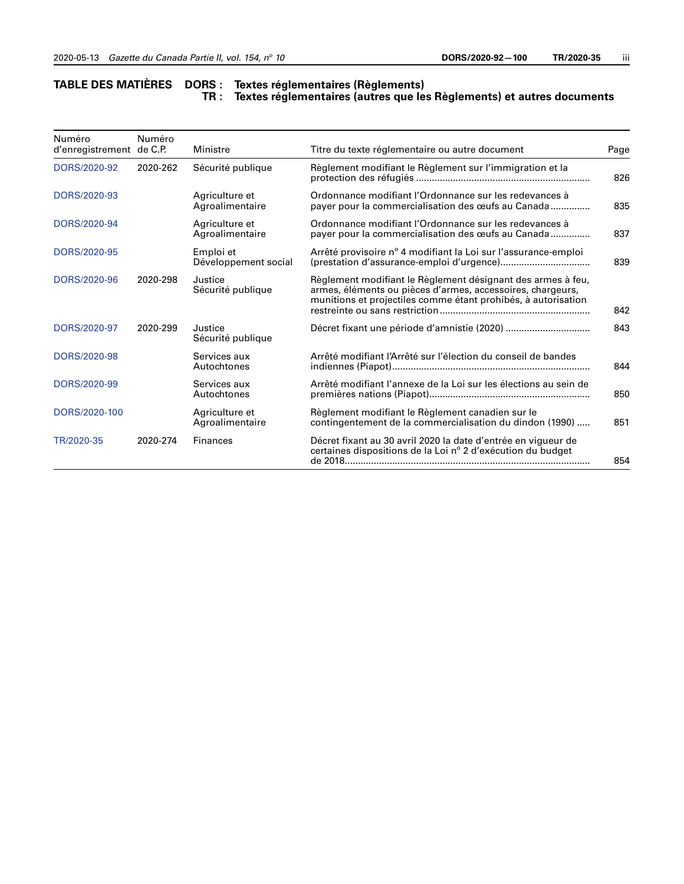#### **TABLE DES MATIÈRES DORS : Textes réglementaires (Règlements) TR : Textes réglementaires (autres que les Règlements) et autres documents**

| Numéro<br>d'enregistrement de C.P. | Numéro   | Ministre                          | Titre du texte réglementaire ou autre document                                                                                                                                             |     |
|------------------------------------|----------|-----------------------------------|--------------------------------------------------------------------------------------------------------------------------------------------------------------------------------------------|-----|
| DORS/2020-92                       | 2020-262 | Sécurité publique                 | Règlement modifiant le Règlement sur l'immigration et la                                                                                                                                   |     |
| DORS/2020-93                       |          | Agriculture et<br>Agroalimentaire | Ordonnance modifiant l'Ordonnance sur les redevances à<br>payer pour la commercialisation des œufs au Canada                                                                               | 835 |
| DORS/2020-94                       |          | Agriculture et<br>Agroalimentaire | Ordonnance modifiant l'Ordonnance sur les redevances à<br>payer pour la commercialisation des œufs au Canada                                                                               | 837 |
| DORS/2020-95                       |          | Emploi et<br>Développement social | Arrêté provisoire nº 4 modifiant la Loi sur l'assurance-emploi                                                                                                                             | 839 |
| DORS/2020-96                       | 2020-298 | Justice<br>Sécurité publique      | Règlement modifiant le Règlement désignant des armes à feu,<br>armes, éléments ou pièces d'armes, accessoires, chargeurs,<br>munitions et projectiles comme étant prohibés, à autorisation |     |
| DORS/2020-97                       | 2020-299 | Justice<br>Sécurité publique      |                                                                                                                                                                                            |     |
| DORS/2020-98                       |          | Services aux<br>Autochtones       | Arrêté modifiant l'Arrêté sur l'élection du conseil de bandes                                                                                                                              | 844 |
| DORS/2020-99                       |          | Services aux<br>Autochtones       | Arrêté modifiant l'annexe de la Loi sur les élections au sein de                                                                                                                           |     |
| DORS/2020-100                      |          | Agriculture et<br>Agroalimentaire | Règlement modifiant le Règlement canadien sur le<br>contingentement de la commercialisation du dindon (1990)                                                                               |     |
| TR/2020-35                         | 2020-274 | <b>Finances</b>                   | Décret fixant au 30 avril 2020 la date d'entrée en vigueur de<br>certaines dispositions de la Loi nº 2 d'exécution du budget                                                               | 854 |